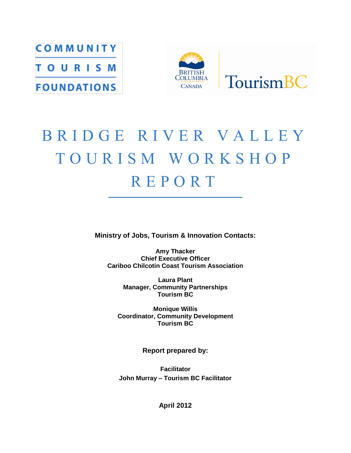COMMUNITY **TOURISM FOUNDATIONS** 





# B R I D G E R I V E R V A L L E Y T O U R I S M W O R K S H O P R E P O R T

**Ministry of Jobs, Tourism & Innovation Contacts:**

**Amy Thacker Chief Executive Officer Cariboo Chilcotin Coast Tourism Association**

> **Laura Plant Manager, Community Partnerships Tourism BC**

**Monique Willis Coordinator, Community Development Tourism BC**

**Report prepared by:**

**Facilitator John Murray – Tourism BC Facilitator**

**April 2012**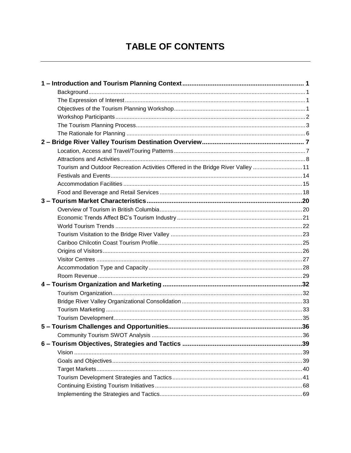# **TABLE OF CONTENTS**

| Tourism and Outdoor Recreation Activities Offered in the Bridge River Valley  11 |  |
|----------------------------------------------------------------------------------|--|
|                                                                                  |  |
|                                                                                  |  |
|                                                                                  |  |
|                                                                                  |  |
|                                                                                  |  |
|                                                                                  |  |
|                                                                                  |  |
|                                                                                  |  |
|                                                                                  |  |
|                                                                                  |  |
|                                                                                  |  |
|                                                                                  |  |
|                                                                                  |  |
|                                                                                  |  |
|                                                                                  |  |
|                                                                                  |  |
|                                                                                  |  |
|                                                                                  |  |
|                                                                                  |  |
|                                                                                  |  |
|                                                                                  |  |
|                                                                                  |  |
|                                                                                  |  |
|                                                                                  |  |
|                                                                                  |  |
|                                                                                  |  |
|                                                                                  |  |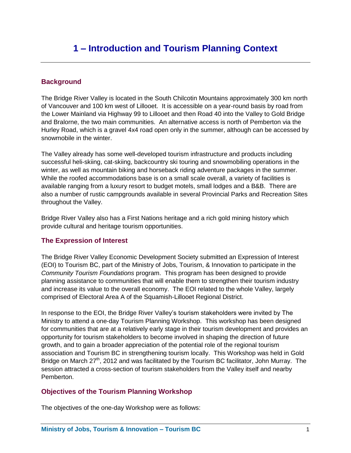## <span id="page-2-1"></span><span id="page-2-0"></span>*6B***Background**

The Bridge River Valley is located in the South Chilcotin Mountains approximately 300 km north of Vancouver and 100 km west of Lillooet. It is accessible on a year-round basis by road from the Lower Mainland via Highway 99 to Lillooet and then Road 40 into the Valley to Gold Bridge and Bralorne, the two main communities. An alternative access is north of Pemberton via the Hurley Road, which is a gravel 4x4 road open only in the summer, although can be accessed by snowmobile in the winter.

The Valley already has some well-developed tourism infrastructure and products including successful heli-skiing, cat-skiing, backcountry ski touring and snowmobiling operations in the winter, as well as mountain biking and horseback riding adventure packages in the summer. While the roofed accommodations base is on a small scale overall, a variety of facilities is available ranging from a luxury resort to budget motels, small lodges and a B&B. There are also a number of rustic campgrounds available in several Provincial Parks and Recreation Sites throughout the Valley.

Bridge River Valley also has a First Nations heritage and a rich gold mining history which provide cultural and heritage tourism opportunities.

#### <span id="page-2-2"></span>*The Expression of Interest*

The Bridge River Valley Economic Development Society submitted an Expression of Interest (EOI) to Tourism BC, part of the Ministry of Jobs, Tourism, & Innovation to participate in the *Community Tourism Foundations* program. This program has been designed to provide planning assistance to communities that will enable them to strengthen their tourism industry and increase its value to the overall economy. The EOI related to the whole Valley, largely comprised of Electoral Area A of the Squamish-Lillooet Regional District.

In response to the EOI, the Bridge River Valley's tourism stakeholders were invited by The Ministry to attend a one-day Tourism Planning Workshop. This workshop has been designed for communities that are at a relatively early stage in their tourism development and provides an opportunity for tourism stakeholders to become involved in shaping the direction of future growth, and to gain a broader appreciation of the potential role of the regional tourism association and Tourism BC in strengthening tourism locally. This Workshop was held in Gold Bridge on March 27<sup>th</sup>, 2012 and was facilitated by the Tourism BC facilitator, John Murray. The session attracted a cross-section of tourism stakeholders from the Valley itself and nearby Pemberton.

#### <span id="page-2-3"></span>*8B***Objectives of the Tourism Planning Workshop**

The objectives of the one-day Workshop were as follows: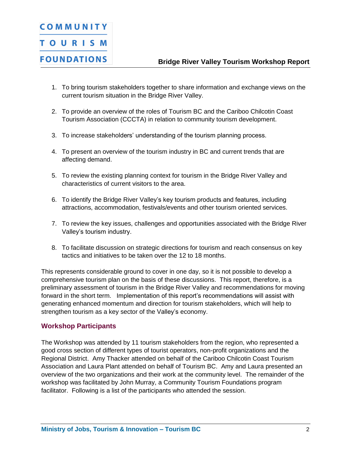## **TOURISM**

# **FOUNDATIONS**

#### **Bridge River Valley Tourism Workshop Report**

- 1. To bring tourism stakeholders together to share information and exchange views on the current tourism situation in the Bridge River Valley.
- 2. To provide an overview of the roles of Tourism BC and the Cariboo Chilcotin Coast Tourism Association (CCCTA) in relation to community tourism development.
- 3. To increase stakeholders' understanding of the tourism planning process.
- 4. To present an overview of the tourism industry in BC and current trends that are affecting demand.
- 5. To review the existing planning context for tourism in the Bridge River Valley and characteristics of current visitors to the area.
- 6. To identify the Bridge River Valley's key tourism products and features, including attractions, accommodation, festivals/events and other tourism oriented services.
- 7. To review the key issues, challenges and opportunities associated with the Bridge River Valley's tourism industry.
- 8. To facilitate discussion on strategic directions for tourism and reach consensus on key tactics and initiatives to be taken over the 12 to 18 months.

This represents considerable ground to cover in one day, so it is not possible to develop a comprehensive tourism plan on the basis of these discussions. This report, therefore, is a preliminary assessment of tourism in the Bridge River Valley and recommendations for moving forward in the short term. Implementation of this report's recommendations will assist with generating enhanced momentum and direction for tourism stakeholders, which will help to strengthen tourism as a key sector of the Valley's economy.

#### <span id="page-3-0"></span>*9B***Workshop Participants**

The Workshop was attended by 11 tourism stakeholders from the region, who represented a good cross section of different types of tourist operators, non-profit organizations and the Regional District. Amy Thacker attended on behalf of the Cariboo Chilcotin Coast Tourism Association and Laura Plant attended on behalf of Tourism BC. Amy and Laura presented an overview of the two organizations and their work at the community level. The remainder of the workshop was facilitated by John Murray, a Community Tourism Foundations program facilitator. Following is a list of the participants who attended the session.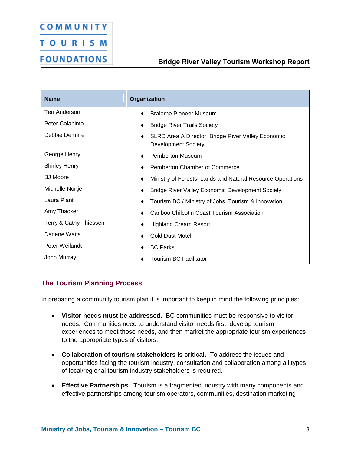**TOURISM** 

# **FOUNDATIONS**

## **Bridge River Valley Tourism Workshop Report**

| <b>Name</b>            | Organization                                                                     |
|------------------------|----------------------------------------------------------------------------------|
| Teri Anderson          | <b>Bralorne Pioneer Museum</b>                                                   |
| Peter Colapinto        | <b>Bridge River Trails Society</b>                                               |
| Debbie Demare          | SLRD Area A Director, Bridge River Valley Economic<br><b>Development Society</b> |
| George Henry           | <b>Pemberton Museum</b>                                                          |
| <b>Shirley Henry</b>   | Pemberton Chamber of Commerce                                                    |
| <b>BJ</b> Moore        | Ministry of Forests, Lands and Natural Resource Operations                       |
| Michelle Nortje        | <b>Bridge River Valley Economic Development Society</b>                          |
| Laura Plant            | Tourism BC / Ministry of Jobs, Tourism & Innovation                              |
| Amy Thacker            | Cariboo Chilcotin Coast Tourism Association                                      |
| Terry & Cathy Thiessen | <b>Highland Cream Resort</b>                                                     |
| Darlene Watts          | <b>Gold Dust Motel</b>                                                           |
| Peter Weilandt         | <b>BC Parks</b>                                                                  |
| John Murray            | Tourism BC Facilitator                                                           |

## <span id="page-4-0"></span>**The Tourism Planning Process**

In preparing a community tourism plan it is important to keep in mind the following principles:

- **Visitor needs must be addressed.** BC communities must be responsive to visitor needs. Communities need to understand visitor needs first, develop tourism experiences to meet those needs, and then market the appropriate tourism experiences to the appropriate types of visitors.
- **Collaboration of tourism stakeholders is critical.** To address the issues and opportunities facing the tourism industry, consultation and collaboration among all types of local/regional tourism industry stakeholders is required.
- **Effective Partnerships.** Tourism is a fragmented industry with many components and effective partnerships among tourism operators, communities, destination marketing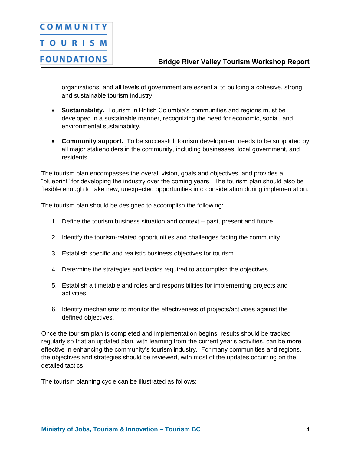**TOURISM** 

# **FOUNDATIONS**

#### **Bridge River Valley Tourism Workshop Report**

organizations, and all levels of government are essential to building a cohesive, strong and sustainable tourism industry.

- **Sustainability.** Tourism in British Columbia's communities and regions must be developed in a sustainable manner, recognizing the need for economic, social, and environmental sustainability.
- **Community support.** To be successful, tourism development needs to be supported by all major stakeholders in the community, including businesses, local government, and residents.

The tourism plan encompasses the overall vision, goals and objectives, and provides a "blueprint" for developing the industry over the coming years. The tourism plan should also be flexible enough to take new, unexpected opportunities into consideration during implementation.

The tourism plan should be designed to accomplish the following:

- 1. Define the tourism business situation and context past, present and future.
- 2. Identify the tourism-related opportunities and challenges facing the community.
- 3. Establish specific and realistic business objectives for tourism.
- 4. Determine the strategies and tactics required to accomplish the objectives.
- 5. Establish a timetable and roles and responsibilities for implementing projects and activities.
- 6. Identify mechanisms to monitor the effectiveness of projects/activities against the defined objectives.

Once the tourism plan is completed and implementation begins, results should be tracked regularly so that an updated plan, with learning from the current year's activities, can be more effective in enhancing the community's tourism industry. For many communities and regions, the objectives and strategies should be reviewed, with most of the updates occurring on the detailed tactics.

The tourism planning cycle can be illustrated as follows: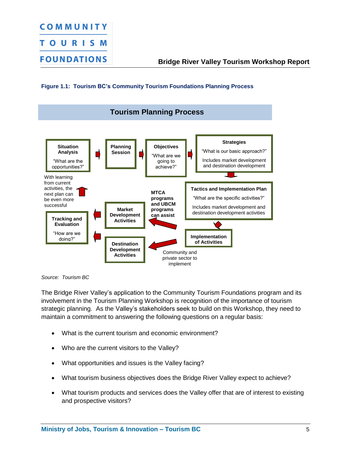#### **Figure 1.1: Tourism BC's Community Tourism Foundations Planning Process**



*Source: Tourism BC*

The Bridge River Valley's application to the Community Tourism Foundations program and its involvement in the Tourism Planning Workshop is recognition of the importance of tourism strategic planning. As the Valley's stakeholders seek to build on this Workshop, they need to maintain a commitment to answering the following questions on a regular basis:

- What is the current tourism and economic environment?
- Who are the current visitors to the Valley?
- What opportunities and issues is the Valley facing?
- What tourism business objectives does the Bridge River Valley expect to achieve?
- What tourism products and services does the Valley offer that are of interest to existing and prospective visitors?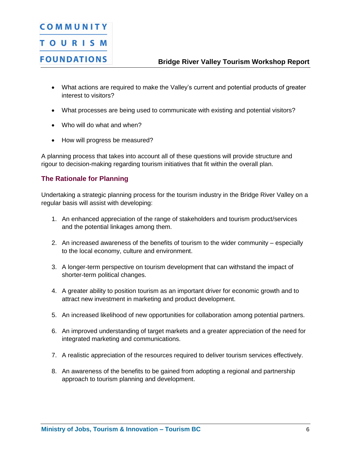## **TOURISM**

**FOUNDATIONS** 

 **Bridge River Valley Tourism Workshop Report**

- What actions are required to make the Valley's current and potential products of greater interest to visitors?
- What processes are being used to communicate with existing and potential visitors?
- Who will do what and when?
- How will progress be measured?

A planning process that takes into account all of these questions will provide structure and rigour to decision-making regarding tourism initiatives that fit within the overall plan.

### <span id="page-7-0"></span>**The Rationale for Planning**

Undertaking a strategic planning process for the tourism industry in the Bridge River Valley on a regular basis will assist with developing:

- 1. An enhanced appreciation of the range of stakeholders and tourism product/services and the potential linkages among them.
- 2. An increased awareness of the benefits of tourism to the wider community especially to the local economy, culture and environment.
- 3. A longer-term perspective on tourism development that can withstand the impact of shorter-term political changes.
- 4. A greater ability to position tourism as an important driver for economic growth and to attract new investment in marketing and product development.
- 5. An increased likelihood of new opportunities for collaboration among potential partners.
- 6. An improved understanding of target markets and a greater appreciation of the need for integrated marketing and communications.
- 7. A realistic appreciation of the resources required to deliver tourism services effectively.
- 8. An awareness of the benefits to be gained from adopting a regional and partnership approach to tourism planning and development.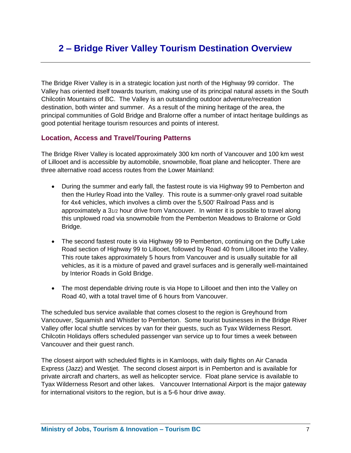# <span id="page-8-0"></span>*1B***2 – Bridge River Valley Tourism Destination Overview**

The Bridge River Valley is in a strategic location just north of the Highway 99 corridor. The Valley has oriented itself towards tourism, making use of its principal natural assets in the South Chilcotin Mountains of BC. The Valley is an outstanding outdoor adventure/recreation destination, both winter and summer. As a result of the mining heritage of the area, the principal communities of Gold Bridge and Bralorne offer a number of intact heritage buildings as good potential heritage tourism resources and points of interest.

#### <span id="page-8-1"></span>**Location, Access and Travel/Touring Patterns**

The Bridge River Valley is located approximately 300 km north of Vancouver and 100 km west of Lillooet and is accessible by automobile, snowmobile, float plane and helicopter. There are three alternative road access routes from the Lower Mainland:

- During the summer and early fall, the fastest route is via Highway 99 to Pemberton and then the Hurley Road into the Valley. This route is a summer-only gravel road suitable for 4x4 vehicles, which involves a climb over the 5,500' Railroad Pass and is approximately a 31/2 hour drive from Vancouver. In winter it is possible to travel along this unplowed road via snowmobile from the Pemberton Meadows to Bralorne or Gold Bridge.
- The second fastest route is via Highway 99 to Pemberton, continuing on the Duffy Lake Road section of Highway 99 to Lillooet, followed by Road 40 from Lillooet into the Valley. This route takes approximately 5 hours from Vancouver and is usually suitable for all vehicles, as it is a mixture of paved and gravel surfaces and is generally well-maintained by Interior Roads in Gold Bridge.
- The most dependable driving route is via Hope to Lillooet and then into the Valley on Road 40, with a total travel time of 6 hours from Vancouver.

The scheduled bus service available that comes closest to the region is Greyhound from Vancouver, Squamish and Whistler to Pemberton. Some tourist businesses in the Bridge River Valley offer local shuttle services by van for their guests, such as Tyax Wilderness Resort. Chilcotin Holidays offers scheduled passenger van service up to four times a week between Vancouver and their guest ranch.

The closest airport with scheduled flights is in Kamloops, with daily flights on Air Canada Express (Jazz) and Westjet. The second closest airport is in Pemberton and is available for private aircraft and charters, as well as helicopter service. Float plane service is available to Tyax Wilderness Resort and other lakes. Vancouver International Airport is the major gateway for international visitors to the region, but is a 5-6 hour drive away.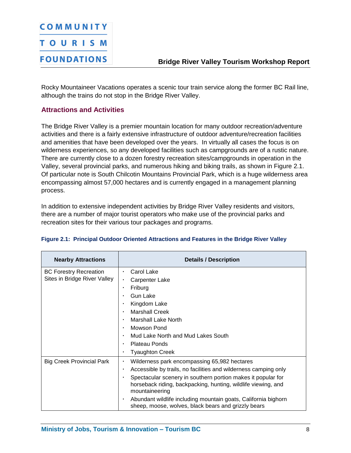# COMMUNITY **TOURISM FOUNDATIONS**

#### **Bridge River Valley Tourism Workshop Report**

Rocky Mountaineer Vacations operates a scenic tour train service along the former BC Rail line, although the trains do not stop in the Bridge River Valley.

### <span id="page-9-0"></span>*13B***Attractions and Activities**

The Bridge River Valley is a premier mountain location for many outdoor recreation/adventure activities and there is a fairly extensive infrastructure of outdoor adventure/recreation facilities and amenities that have been developed over the years. In virtually all cases the focus is on wilderness experiences, so any developed facilities such as campgrounds are of a rustic nature. There are currently close to a dozen forestry recreation sites/campgrounds in operation in the Valley, several provincial parks, and numerous hiking and biking trails, as shown in Figure 2.1. Of particular note is South Chilcotin Mountains Provincial Park, which is a huge wilderness area encompassing almost 57,000 hectares and is currently engaged in a management planning process.

In addition to extensive independent activities by Bridge River Valley residents and visitors, there are a number of major tourist operators who make use of the provincial parks and recreation sites for their various tour packages and programs.

| <b>Nearby Attractions</b>        | <b>Details / Description</b>                                                                                                                         |  |  |  |
|----------------------------------|------------------------------------------------------------------------------------------------------------------------------------------------------|--|--|--|
| <b>BC Forestry Recreation</b>    | Carol Lake<br>٠                                                                                                                                      |  |  |  |
| Sites in Bridge River Valley     | Carpenter Lake<br>٠                                                                                                                                  |  |  |  |
|                                  | Friburg<br>٠                                                                                                                                         |  |  |  |
|                                  | <b>Gun Lake</b><br>٠                                                                                                                                 |  |  |  |
|                                  | Kingdom Lake<br>٠                                                                                                                                    |  |  |  |
|                                  | <b>Marshall Creek</b><br>٠                                                                                                                           |  |  |  |
|                                  | Marshall Lake North<br>$\blacksquare$                                                                                                                |  |  |  |
|                                  | Mowson Pond<br>٠                                                                                                                                     |  |  |  |
|                                  | Mud Lake North and Mud Lakes South<br>٠                                                                                                              |  |  |  |
|                                  | <b>Plateau Ponds</b>                                                                                                                                 |  |  |  |
|                                  | <b>Tyaughton Creek</b><br>٠                                                                                                                          |  |  |  |
| <b>Big Creek Provincial Park</b> | Wilderness park encompassing 65,982 hectares<br>٠                                                                                                    |  |  |  |
|                                  | Accessible by trails, no facilities and wilderness camping only<br>٠                                                                                 |  |  |  |
|                                  | Spectacular scenery in southern portion makes it popular for<br>٠<br>horseback riding, backpacking, hunting, wildlife viewing, and<br>mountaineering |  |  |  |
|                                  | Abundant wildlife including mountain goats, California bighorn<br>٠<br>sheep, moose, wolves, black bears and grizzly bears                           |  |  |  |

#### **Figure 2.1: Principal Outdoor Oriented Attractions and Features in the Bridge River Valley**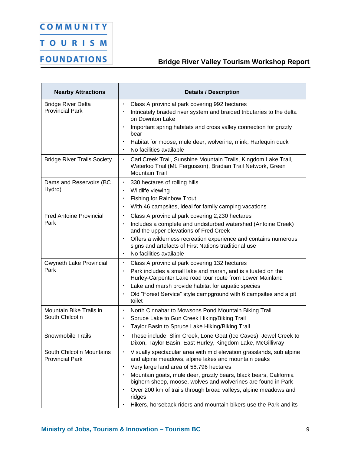## **TOURISM**

## **FOUNDATIONS**

| <b>Nearby Attractions</b>                           | <b>Details / Description</b>                                                                                                                             |
|-----------------------------------------------------|----------------------------------------------------------------------------------------------------------------------------------------------------------|
| <b>Bridge River Delta</b>                           | Class A provincial park covering 992 hectares<br>٠                                                                                                       |
| <b>Provincial Park</b>                              | Intricately braided river system and braided tributaries to the delta<br>on Downton Lake                                                                 |
|                                                     | Important spring habitats and cross valley connection for grizzly<br>٠<br>bear                                                                           |
|                                                     | Habitat for moose, mule deer, wolverine, mink, Harlequin duck<br>٠<br>No facilities available                                                            |
| <b>Bridge River Trails Society</b>                  | Carl Creek Trail, Sunshine Mountain Trails, Kingdom Lake Trail,<br>Waterloo Trail (Mt. Fergusson), Bradian Trail Network, Green<br><b>Mountain Trail</b> |
| Dams and Reservoirs (BC<br>Hydro)                   | 330 hectares of rolling hills<br>$\bullet$<br>Wildlife viewing<br>٠                                                                                      |
|                                                     | <b>Fishing for Rainbow Trout</b><br>٠                                                                                                                    |
|                                                     | With 46 campsites, ideal for family camping vacations<br>$\blacksquare$                                                                                  |
| <b>Fred Antoine Provincial</b>                      | Class A provincial park covering 2,230 hectares<br>٠                                                                                                     |
| Park                                                | Includes a complete and undisturbed watershed (Antoine Creek)<br>٠<br>and the upper elevations of Fred Creek                                             |
|                                                     | Offers a wilderness recreation experience and contains numerous<br>signs and artefacts of First Nations traditional use<br>No facilities available       |
| Gwyneth Lake Provincial                             | Class A provincial park covering 132 hectares<br>٠                                                                                                       |
| Park                                                | Park includes a small lake and marsh, and is situated on the<br>٠<br>Hurley-Carpenter Lake road tour route from Lower Mainland                           |
|                                                     | Lake and marsh provide habitat for aquatic species<br>٠                                                                                                  |
|                                                     | Old "Forest Service" style campground with 6 campsites and a pit<br>٠<br>toilet                                                                          |
| Mountain Bike Trails in                             | North Cinnabar to Mowsons Pond Mountain Biking Trail                                                                                                     |
| South Chilcotin                                     | Spruce Lake to Gun Creek Hiking/Biking Trail<br>٠                                                                                                        |
|                                                     | Taylor Basin to Spruce Lake Hiking/Biking Trail<br>٠                                                                                                     |
| Snowmobile Trails                                   | These include: Slim Creek, Lone Goat (Ice Caves), Jewel Creek to<br>Dixon, Taylor Basin, East Hurley, Kingdom Lake, McGillivray                          |
| South Chilcotin Mountains<br><b>Provincial Park</b> | Visually spectacular area with mid elevation grasslands, sub alpine<br>٠<br>and alpine meadows, alpine lakes and mountain peaks                          |
|                                                     | Very large land area of 56,796 hectares<br>٠                                                                                                             |
|                                                     | Mountain goats, mule deer, grizzly bears, black bears, California<br>٠<br>bighorn sheep, moose, wolves and wolverines are found in Park                  |
|                                                     | Over 200 km of trails through broad valleys, alpine meadows and<br>ridges                                                                                |
|                                                     | Hikers, horseback riders and mountain bikers use the Park and its                                                                                        |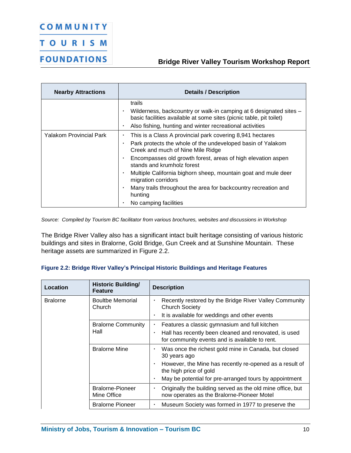## **TOURISM**

# **FOUNDATIONS**

## **Bridge River Valley Tourism Workshop Report**

| <b>Nearby Attractions</b> | <b>Details / Description</b>                                                                                                                                                                                                                                                                                                                                                                                                                                                        |  |
|---------------------------|-------------------------------------------------------------------------------------------------------------------------------------------------------------------------------------------------------------------------------------------------------------------------------------------------------------------------------------------------------------------------------------------------------------------------------------------------------------------------------------|--|
|                           | trails<br>Wilderness, backcountry or walk-in camping at 6 designated sites -<br>٠<br>basic facilities available at some sites (picnic table, pit toilet)<br>Also fishing, hunting and winter recreational activities<br>٠                                                                                                                                                                                                                                                           |  |
| Yalakom Provincial Park   | This is a Class A provincial park covering 8,941 hectares<br>٠<br>Park protects the whole of the undeveloped basin of Yalakom<br>Creek and much of Nine Mile Ridge<br>Encompasses old growth forest, areas of high elevation aspen<br>٠<br>stands and krumholz forest<br>Multiple California bighorn sheep, mountain goat and mule deer<br>٠<br>migration corridors<br>Many trails throughout the area for backcountry recreation and<br>٠<br>hunting<br>No camping facilities<br>٠ |  |

*Source: Compiled by Tourism BC facilitator from various brochures, websites and discussions in Workshop*

The Bridge River Valley also has a significant intact built heritage consisting of various historic buildings and sites in Bralorne, Gold Bridge, Gun Creek and at Sunshine Mountain. These heritage assets are summarized in Figure 2.2.

#### **Figure 2.2: Bridge River Valley's Principal Historic Buildings and Heritage Features**

| Location        | <b>Historic Building/</b><br><b>Feature</b> | <b>Description</b>                                                                                                                                                                                                                         |
|-----------------|---------------------------------------------|--------------------------------------------------------------------------------------------------------------------------------------------------------------------------------------------------------------------------------------------|
| <b>Bralorne</b> | <b>Boultbe Memorial</b><br>Church           | Recently restored by the Bridge River Valley Community<br><b>Church Society</b><br>It is available for weddings and other events                                                                                                           |
|                 | <b>Bralorne Community</b><br>Hall           | Features a classic gymnasium and full kitchen<br>٠<br>Hall has recently been cleaned and renovated, is used<br>$\blacksquare$<br>for community events and is available to rent.                                                            |
|                 | <b>Bralorne Mine</b>                        | Was once the richest gold mine in Canada, but closed<br>٠<br>30 years ago<br>However, the Mine has recently re-opened as a result of<br>$\blacksquare$<br>the high price of gold<br>May be potential for pre-arranged tours by appointment |
|                 | <b>Bralorne-Pioneer</b><br>Mine Office      | Originally the building served as the old mine office, but<br>٠<br>now operates as the Bralorne-Pioneer Motel                                                                                                                              |
|                 | <b>Bralorne Pioneer</b>                     | Museum Society was formed in 1977 to preserve the                                                                                                                                                                                          |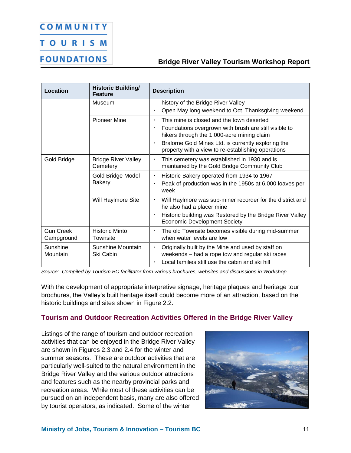## **TOURISM**

## **FOUNDATIONS**

### **Bridge River Valley Tourism Workshop Report**

| Location                       | <b>Historic Building/</b><br><b>Feature</b> | <b>Description</b>                                                                                             |
|--------------------------------|---------------------------------------------|----------------------------------------------------------------------------------------------------------------|
|                                | Museum                                      | history of the Bridge River Valley                                                                             |
|                                |                                             | Open May long weekend to Oct. Thanksgiving weekend                                                             |
|                                | <b>Pioneer Mine</b>                         | This mine is closed and the town deserted<br>$\blacksquare$                                                    |
|                                |                                             | Foundations overgrown with brush are still visible to<br>hikers through the 1,000-acre mining claim            |
|                                |                                             | Bralorne Gold Mines Ltd. is currently exploring the<br>٠<br>property with a view to re-establishing operations |
| Gold Bridge                    | <b>Bridge River Valley</b><br>Cemetery      | This cemetery was established in 1930 and is<br>٠<br>maintained by the Gold Bridge Community Club              |
|                                | Gold Bridge Model                           | Historic Bakery operated from 1934 to 1967<br>$\blacksquare$                                                   |
|                                | <b>Bakery</b>                               | Peak of production was in the 1950s at 6,000 loaves per<br>٠<br>week                                           |
|                                | Will Haylmore Site                          | Will Haylmore was sub-miner recorder for the district and<br>he also had a placer mine                         |
|                                |                                             | Historic building was Restored by the Bridge River Valley<br>٠<br><b>Economic Development Society</b>          |
| <b>Gun Creek</b><br>Campground | <b>Historic Minto</b><br>Townsite           | The old Townsite becomes visible during mid-summer<br>٠<br>when water levels are low                           |
| Sunshine                       | Sunshine Mountain                           | Originally built by the Mine and used by staff on<br>$\blacksquare$                                            |
| Mountain                       | Ski Cabin                                   | weekends - had a rope tow and regular ski races<br>Local families still use the cabin and ski hill<br>٠        |
|                                |                                             |                                                                                                                |

*Source: Compiled by Tourism BC facilitator from various brochures, websites and discussions in Workshop*

With the development of appropriate interpretive signage, heritage plaques and heritage tour brochures, the Valley's built heritage itself could become more of an attraction, based on the historic buildings and sites shown in Figure 2.2.

#### <span id="page-12-0"></span>**Tourism and Outdoor Recreation Activities Offered in the Bridge River Valley**

Listings of the range of tourism and outdoor recreation activities that can be enjoyed in the Bridge River Valley are shown in Figures 2.3 and 2.4 for the winter and summer seasons. These are outdoor activities that are particularly well-suited to the natural environment in the Bridge River Valley and the various outdoor attractions and features such as the nearby provincial parks and recreation areas. While most of these activities can be pursued on an independent basis, many are also offered by tourist operators, as indicated. Some of the winter

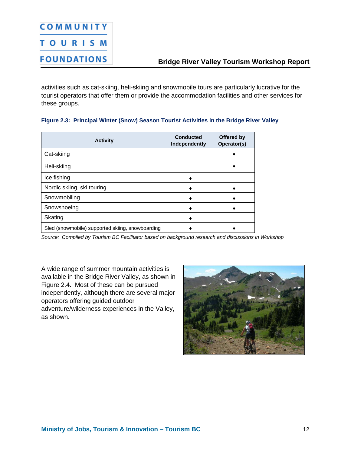# COMMUNITY **TOURISM FOUNDATIONS**

#### **Bridge River Valley Tourism Workshop Report**

activities such as cat-skiing, heli-skiing and snowmobile tours are particularly lucrative for the tourist operators that offer them or provide the accommodation facilities and other services for these groups.

| <b>Activity</b>                                  | <b>Conducted</b><br>Independently | Offered by<br>Operator(s) |
|--------------------------------------------------|-----------------------------------|---------------------------|
| Cat-skiing                                       |                                   |                           |
| Heli-skiing                                      |                                   |                           |
| Ice fishing                                      |                                   |                           |
| Nordic skiing, ski touring                       |                                   |                           |
| Snowmobiling                                     |                                   |                           |
| Snowshoeing                                      |                                   |                           |
| Skating                                          |                                   |                           |
| Sled (snowmobile) supported skiing, snowboarding |                                   |                           |

#### **Figure 2.3: Principal Winter (Snow) Season Tourist Activities in the Bridge River Valley**

*Source: Compiled by Tourism BC Facilitator based on background research and discussions in Workshop*

A wide range of summer mountain activities is available in the Bridge River Valley, as shown in Figure 2.4. Most of these can be pursued independently, although there are several major operators offering guided outdoor adventure/wilderness experiences in the Valley, as shown.

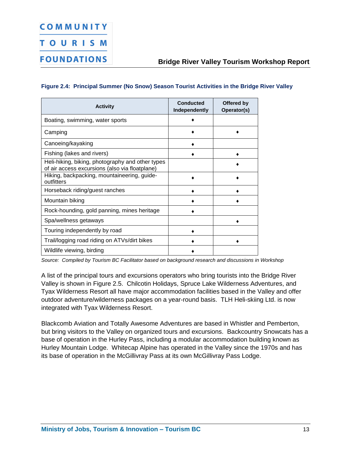**TOURISM** 

**FOUNDATIONS** 

#### **Bridge River Valley Tourism Workshop Report**

| <b>Activity</b>                                                                                    | <b>Conducted</b><br>Independently | Offered by<br>Operator(s) |
|----------------------------------------------------------------------------------------------------|-----------------------------------|---------------------------|
| Boating, swimming, water sports                                                                    |                                   |                           |
| Camping                                                                                            |                                   |                           |
| Canoeing/kayaking                                                                                  |                                   |                           |
| Fishing (lakes and rivers)                                                                         |                                   |                           |
| Heli-hiking, biking, photography and other types<br>of air access excursions (also via floatplane) |                                   |                           |
| Hiking, backpacking, mountaineering, guide-<br>outfitters                                          |                                   |                           |
| Horseback riding/guest ranches                                                                     |                                   |                           |
| Mountain biking                                                                                    |                                   |                           |
| Rock-hounding, gold panning, mines heritage                                                        |                                   |                           |
| Spa/wellness getaways                                                                              |                                   |                           |
| Touring independently by road                                                                      |                                   |                           |
| Trail/logging road riding on ATVs/dirt bikes                                                       |                                   |                           |
| Wildlife viewing, birding                                                                          |                                   |                           |

#### **Figure 2.4: Principal Summer (No Snow) Season Tourist Activities in the Bridge River Valley**

*Source: Compiled by Tourism BC Facilitator based on background research and discussions in Workshop*

A list of the principal tours and excursions operators who bring tourists into the Bridge River Valley is shown in Figure 2.5. Chilcotin Holidays, Spruce Lake Wilderness Adventures, and Tyax Wilderness Resort all have major accommodation facilities based in the Valley and offer outdoor adventure/wilderness packages on a year-round basis. TLH Heli-skiing Ltd. is now integrated with Tyax Wilderness Resort.

Blackcomb Aviation and Totally Awesome Adventures are based in Whistler and Pemberton, but bring visitors to the Valley on organized tours and excursions. Backcountry Snowcats has a base of operation in the Hurley Pass, including a modular accommodation building known as Hurley Mountain Lodge. Whitecap Alpine has operated in the Valley since the 1970s and has its base of operation in the McGillivray Pass at its own McGillivray Pass Lodge.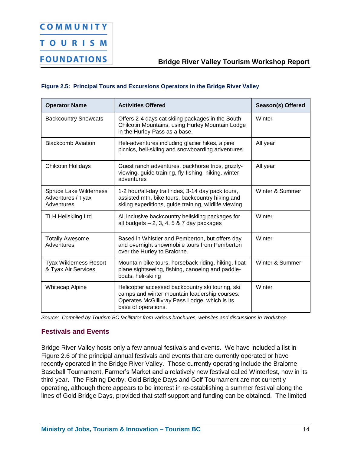**TOURISM** 

**FOUNDATIONS** 

#### **Bridge River Valley Tourism Workshop Report**

#### **Figure 2.5: Principal Tours and Excursions Operators in the Bridge River Valley**

| <b>Operator Name</b>                                                    | <b>Activities Offered</b>                                                                                                                                                 | <b>Season(s) Offered</b> |
|-------------------------------------------------------------------------|---------------------------------------------------------------------------------------------------------------------------------------------------------------------------|--------------------------|
| <b>Backcountry Snowcats</b>                                             | Offers 2-4 days cat skiing packages in the South<br>Chilcotin Mountains, using Hurley Mountain Lodge<br>in the Hurley Pass as a base.                                     | Winter                   |
| <b>Blackcomb Aviation</b>                                               | Heli-adventures including glacier hikes, alpine<br>picnics, heli-skiing and snowboarding adventures                                                                       | All year                 |
| <b>Chilcotin Holidays</b>                                               | Guest ranch adventures, packhorse trips, grizzly-<br>viewing, guide training, fly-fishing, hiking, winter<br>adventures                                                   | All year                 |
| <b>Spruce Lake Wilderness</b><br>Adventures / Tyax<br><b>Adventures</b> | 1-2 hour/all-day trail rides, 3-14 day pack tours,<br>assisted mtn. bike tours, backcountry hiking and<br>skiing expeditions, guide training, wildlife viewing            | Winter & Summer          |
| <b>TLH Heliskiing Ltd.</b>                                              | All inclusive backcountry heliskiing packages for<br>all budgets $-2$ , 3, 4, 5 & 7 day packages                                                                          | Winter                   |
| <b>Totally Awesome</b><br>Adventures                                    | Based in Whistler and Pemberton, but offers day<br>and overnight snowmobile tours from Pemberton<br>over the Hurley to Bralorne.                                          | Winter                   |
| <b>Tyax Wilderness Resort</b><br>& Tyax Air Services                    | Mountain bike tours, horseback riding, hiking, float<br>plane sightseeing, fishing, canoeing and paddle-<br>boats, heli-skiing                                            | Winter & Summer          |
| <b>Whitecap Alpine</b>                                                  | Helicopter accessed backcountry ski touring, ski<br>camps and winter mountain leadership courses.<br>Operates McGillivray Pass Lodge, which is its<br>base of operations. | Winter                   |

<span id="page-15-0"></span>*Source: Compiled by Tourism BC facilitator from various brochures, websites and discussions in Workshop*

#### **Festivals and Events**

Bridge River Valley hosts only a few annual festivals and events. We have included a list in Figure 2.6 of the principal annual festivals and events that are currently operated or have recently operated in the Bridge River Valley. Those currently operating include the Bralorne Baseball Tournament, Farmer's Market and a relatively new festival called Winterfest, now in its third year. The Fishing Derby, Gold Bridge Days and Golf Tournament are not currently operating, although there appears to be interest in re-establishing a summer festival along the lines of Gold Bridge Days, provided that staff support and funding can be obtained. The limited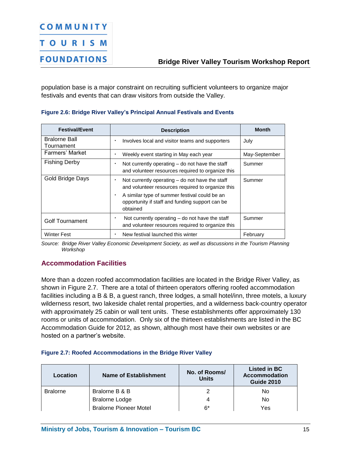# COMMUNITY **TOURISM**

**FOUNDATIONS** 

population base is a major constraint on recruiting sufficient volunteers to organize major festivals and events that can draw visitors from outside the Valley.

| <b>Festival/Event</b>              | <b>Description</b>                                                                                                                                      | <b>Month</b>  |
|------------------------------------|---------------------------------------------------------------------------------------------------------------------------------------------------------|---------------|
| <b>Bralorne Ball</b><br>Tournament | Involves local and visitor teams and supporters                                                                                                         | July          |
| Farmers' Market                    | Weekly event starting in May each year                                                                                                                  | May-September |
| <b>Fishing Derby</b>               | Not currently operating $-$ do not have the staff<br>and volunteer resources required to organize this                                                  | Summer        |
| Gold Bridge Days                   | Not currently operating $-$ do not have the staff<br>and volunteer resources required to organize this<br>A similar type of summer festival could be an | Summer        |
|                                    | opportunity if staff and funding support can be<br>obtained                                                                                             |               |
| <b>Golf Tournament</b>             | Not currently operating - do not have the staff<br>and volunteer resources required to organize this                                                    | Summer        |
| <b>Winter Fest</b>                 | New festival launched this winter                                                                                                                       | February      |

#### **Figure 2.6: Bridge River Valley's Principal Annual Festivals and Events**

*Source: Bridge River Valley Economic Development Society, as well as discussions in the Tourism Planning Workshop*

#### <span id="page-16-0"></span>*16B***Accommodation Facilities**

More than a dozen roofed accommodation facilities are located in the Bridge River Valley, as shown in Figure 2.7. There are a total of thirteen operators offering roofed accommodation facilities including a B & B, a guest ranch, three lodges, a small hotel/inn, three motels, a luxury wilderness resort, two lakeside chalet rental properties, and a wilderness back-country operator with approximately 25 cabin or wall tent units. These establishments offer approximately 130 rooms or units of accommodation. Only six of the thirteen establishments are listed in the BC Accommodation Guide for 2012, as shown, although most have their own websites or are hosted on a partner's website.

#### **Figure 2.7: Roofed Accommodations in the Bridge River Valley**

| Location        | Name of Establishment         | No. of Rooms/<br><b>Units</b> | Listed in BC<br><b>Accommodation</b><br><b>Guide 2010</b> |
|-----------------|-------------------------------|-------------------------------|-----------------------------------------------------------|
| <b>Bralorne</b> | Bralorne B & B                |                               | No                                                        |
|                 | <b>Bralorne Lodge</b>         | 4                             | No                                                        |
|                 | <b>Bralorne Pioneer Motel</b> | 6*                            | Yes                                                       |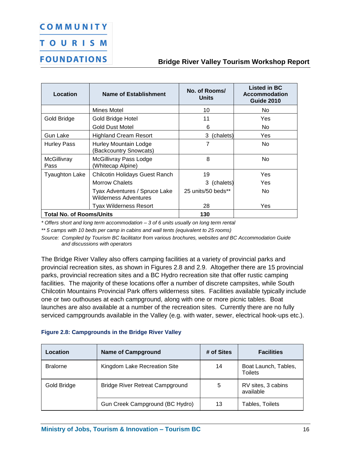## **TOURISM**

# **FOUNDATIONS**

### **Bridge River Valley Tourism Workshop Report**

| Location                        | Name of Establishment                                         | No. of Rooms/<br><b>Units</b> | <b>Listed in BC</b><br>Accommodation<br><b>Guide 2010</b> |
|---------------------------------|---------------------------------------------------------------|-------------------------------|-----------------------------------------------------------|
|                                 | Mines Motel                                                   | 10                            | No.                                                       |
| Gold Bridge                     | Gold Bridge Hotel                                             | 11                            | Yes                                                       |
|                                 | <b>Gold Dust Motel</b>                                        | 6                             | No.                                                       |
| Gun Lake                        | <b>Highland Cream Resort</b>                                  | 3<br>chalets)                 | Yes                                                       |
| <b>Hurley Pass</b>              | <b>Hurley Mountain Lodge</b><br><b>Backcountry Snowcats)</b>  | 7                             | No.                                                       |
| McGillivray<br>Pass             | McGillivray Pass Lodge<br>(Whitecap Alpine)                   | 8                             | N <sub>o</sub>                                            |
| <b>Tyaughton Lake</b>           | <b>Chilcotin Holidays Guest Ranch</b>                         | 19                            | Yes                                                       |
|                                 | <b>Morrow Chalets</b>                                         | 3 (chalets)                   | Yes                                                       |
|                                 | Tyax Adventures / Spruce Lake<br><b>Wilderness Adventures</b> | 25 units/50 beds**            | No.                                                       |
|                                 | <b>Tyax Wilderness Resort</b>                                 | 28                            | Yes                                                       |
| <b>Total No. of Rooms/Units</b> |                                                               | 130                           |                                                           |

*\* Offers short and long term accommodation – 3 of 6 units usually on long term rental*

*\*\* 5 camps with 10 beds per camp in cabins and wall tents (equivalent to 25 rooms)*

*Source: Compiled by Tourism BC facilitator from various brochures, websites and BC Accommodation Guide and discussions with operators*

The Bridge River Valley also offers camping facilities at a variety of provincial parks and provincial recreation sites, as shown in Figures 2.8 and 2.9. Altogether there are 15 provincial parks, provincial recreation sites and a BC Hydro recreation site that offer rustic camping facilities. The majority of these locations offer a number of discrete campsites, while South Chilcotin Mountains Provincial Park offers wilderness sites. Facilities available typically include one or two outhouses at each campground, along with one or more picnic tables. Boat launches are also available at a number of the recreation sites. Currently there are no fully serviced campgrounds available in the Valley (e.g. with water, sewer, electrical hook-ups etc.).

#### **Figure 2.8: Campgrounds in the Bridge River Valley**

| Location        | <b>Name of Campground</b>              | # of Sites | <b>Facilities</b>               |
|-----------------|----------------------------------------|------------|---------------------------------|
| <b>Bralorne</b> | Kingdom Lake Recreation Site           | 14         | Boat Launch, Tables,<br>Toilets |
| Gold Bridge     | <b>Bridge River Retreat Campground</b> | 5          | RV sites, 3 cabins<br>available |
|                 | Gun Creek Campground (BC Hydro)        | 13         | Tables, Toilets                 |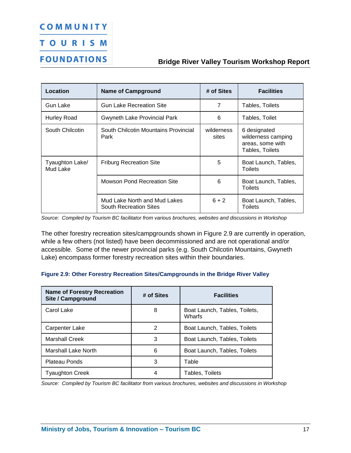## **TOURISM**

# **FOUNDATIONS**

### **Bridge River Valley Tourism Workshop Report**

| Location                    | <b>Name of Campground</b>                                     | # of Sites          | <b>Facilities</b>                                                         |
|-----------------------------|---------------------------------------------------------------|---------------------|---------------------------------------------------------------------------|
| <b>Gun Lake</b>             | <b>Gun Lake Recreation Site</b>                               | 7                   | Tables, Toilets                                                           |
| <b>Hurley Road</b>          | <b>Gwyneth Lake Provincial Park</b>                           | 6                   | Tables, Toilet                                                            |
| South Chilcotin             | South Chilcotin Mountains Provincial<br>Park                  | wilderness<br>sites | 6 designated<br>wilderness camping<br>areas, some with<br>Tables, Toilets |
| Tyaughton Lake/<br>Mud Lake | <b>Friburg Recreation Site</b>                                | 5                   | Boat Launch, Tables,<br>Toilets                                           |
|                             | Mowson Pond Recreation Site                                   | 6                   | Boat Launch, Tables,<br>Toilets                                           |
|                             | Mud Lake North and Mud Lakes<br><b>South Recreation Sites</b> | $6 + 2$             | Boat Launch, Tables,<br>Toilets                                           |

*Source: Compiled by Tourism BC facilitator from various brochures, websites and discussions in Workshop*

The other forestry recreation sites/campgrounds shown in Figure 2.9 are currently in operation, while a few others (not listed) have been decommissioned and are not operational and/or accessible. Some of the newer provincial parks (e.g. South Chilcotin Mountains, Gwyneth Lake) encompass former forestry recreation sites within their boundaries.

#### **Figure 2.9: Other Forestry Recreation Sites/Campgrounds in the Bridge River Valley**

| <b>Name of Forestry Recreation</b><br>Site / Campground | # of Sites | <b>Facilities</b>                       |
|---------------------------------------------------------|------------|-----------------------------------------|
| Carol Lake                                              | 8          | Boat Launch, Tables, Toilets,<br>Wharfs |
| Carpenter Lake                                          | 2          | Boat Launch, Tables, Toilets            |
| <b>Marshall Creek</b>                                   | 3          | Boat Launch, Tables, Toilets            |
| Marshall Lake North                                     | 6          | Boat Launch, Tables, Toilets            |
| <b>Plateau Ponds</b>                                    | 3          | Table                                   |
| <b>Tyaughton Creek</b>                                  | 4          | Tables, Toilets                         |

*Source: Compiled by Tourism BC facilitator from various brochures, websites and discussions in Workshop*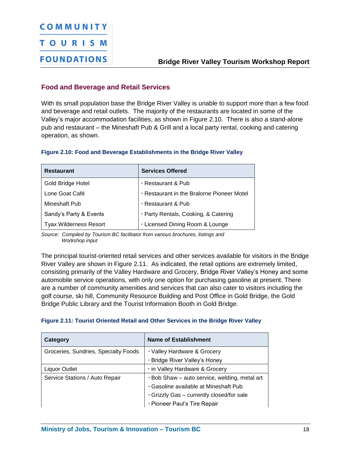# COMMUNITY **TOURISM FOUNDATIONS**

## <span id="page-19-0"></span>**Food and Beverage and Retail Services**

With its small population base the Bridge River Valley is unable to support more than a few food and beverage and retail outlets. The majority of the restaurants are located in some of the Valley's major accommodation facilities, as shown in Figure 2.10. There is also a stand-alone pub and restaurant – the Mineshaft Pub & Grill and a local party rental, cooking and catering operation, as shown.

| <b>Restaurant</b>             | <b>Services Offered</b>                    |
|-------------------------------|--------------------------------------------|
| Gold Bridge Hotel             | · Restaurant & Pub                         |
| Lone Goat Café                | . Restaurant in the Bralorne Pioneer Motel |
| Mineshaft Pub                 | · Restaurant & Pub                         |
| Sandy's Party & Events        | · Party Rentals, Cooking, & Catering       |
| <b>Tyax Wilderness Resort</b> | · Licensed Dining Room & Lounge            |

#### **Figure 2.10: Food and Beverage Establishments in the Bridge River Valley**

*Source: Compiled by Tourism BC facilitator from various brochures, listings and Workshop input*

The principal tourist-oriented retail services and other services available for visitors in the Bridge River Valley are shown in Figure 2.11. As indicated, the retail options are extremely limited, consisting primarily of the Valley Hardware and Grocery, Bridge River Valley's Honey and some automobile service operations, with only one option for purchasing gasoline at present. There are a number of community amenities and services that can also cater to visitors including the golf course, ski hill, Community Resource Building and Post Office in Gold Bridge, the Gold Bridge Public Library and the Tourist Information Booth in Gold Bridge.

#### **Figure 2.11: Tourist Oriented Retail and Other Services in the Bridge River Valley**

| Category                             | <b>Name of Establishment</b>                  |
|--------------------------------------|-----------------------------------------------|
| Groceries, Sundries, Specialty Foods | · Valley Hardware & Grocery                   |
|                                      | · Bridge River Valley's Honey                 |
| Liquor Outlet                        | . in Valley Hardware & Grocery                |
| Service Stations / Auto Repair       | · Bob Shaw - auto service, welding, metal art |
|                                      | Gasoline available at Mineshaft Pub           |
|                                      | . Grizzly Gas - currently closed/for sale     |
|                                      | · Pioneer Paul's Tire Repair                  |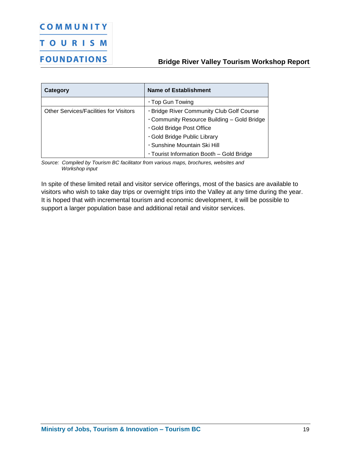## **TOURISM**

# **FOUNDATIONS**

## **Bridge River Valley Tourism Workshop Report**

| Category                               | <b>Name of Establishment</b>                |
|----------------------------------------|---------------------------------------------|
|                                        | ∙ Top Gun Towing                            |
| Other Services/Facilities for Visitors | · Bridge River Community Club Golf Course   |
|                                        | . Community Resource Building - Gold Bridge |
|                                        | · Gold Bridge Post Office                   |
|                                        | · Gold Bridge Public Library                |
|                                        | · Sunshine Mountain Ski Hill                |
|                                        | · Tourist Information Booth - Gold Bridge   |

*Source: Compiled by Tourism BC facilitator from various maps, brochures, websites and Workshop input* 

In spite of these limited retail and visitor service offerings, most of the basics are available to visitors who wish to take day trips or overnight trips into the Valley at any time during the year. It is hoped that with incremental tourism and economic development, it will be possible to support a larger population base and additional retail and visitor services.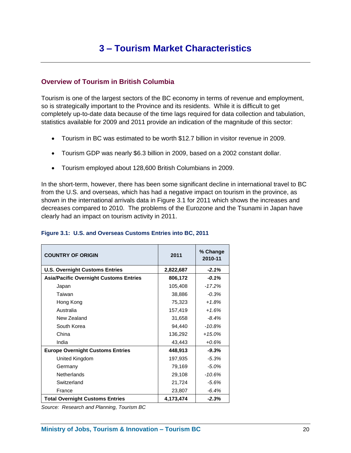# *2B***3 – Tourism Market Characteristics**

#### <span id="page-21-1"></span><span id="page-21-0"></span>**Overview of Tourism in British Columbia**

Tourism is one of the largest sectors of the BC economy in terms of revenue and employment, so is strategically important to the Province and its residents. While it is difficult to get completely up-to-date data because of the time lags required for data collection and tabulation, statistics available for 2009 and 2011 provide an indication of the magnitude of this sector:

- Tourism in BC was estimated to be worth \$12.7 billion in visitor revenue in 2009.
- Tourism GDP was nearly \$6.3 billion in 2009, based on a 2002 constant dollar.
- Tourism employed about 128,600 British Columbians in 2009.

In the short-term, however, there has been some significant decline in international travel to BC from the U.S. and overseas, which has had a negative impact on tourism in the province, as shown in the international arrivals data in Figure 3.1 for 2011 which shows the increases and decreases compared to 2010. The problems of the Eurozone and the Tsunami in Japan have clearly had an impact on tourism activity in 2011.

| <b>COUNTRY OF ORIGIN</b>                      | 2011      | % Change<br>2010-11 |
|-----------------------------------------------|-----------|---------------------|
| <b>U.S. Overnight Customs Entries</b>         | 2,822,687 | $-2.1%$             |
| <b>Asia/Pacific Overnight Customs Entries</b> | 806,172   | $-0.1%$             |
| Japan                                         | 105,408   | $-17.2%$            |
| Taiwan                                        | 38,886    | $-0.3%$             |
| Hong Kong                                     | 75,323    | $+1.8%$             |
| Australia                                     | 157,419   | $+1.6%$             |
| New Zealand                                   | 31,658    | $-8.4%$             |
| South Korea                                   | 94,440    | $-10.8%$            |
| China                                         | 136,292   | $+15.0%$            |
| India                                         | 43,443    | $+0.6%$             |
| <b>Europe Overnight Customs Entries</b>       | 448,913   | $-9.3%$             |
| United Kingdom                                | 197,935   | $-5.3%$             |
| Germany                                       | 79,169    | $-5.0%$             |
| Netherlands                                   | 29,108    | $-10.6%$            |
| Switzerland                                   | 21,724    | $-5.6%$             |
| France                                        | 23,807    | $-6.4%$             |
| <b>Total Overnight Customs Entries</b>        | 4,173,474 | $-2.3%$             |

#### **Figure 3.1: U.S. and Overseas Customs Entries into BC, 2011**

*Source: Research and Planning, Tourism BC*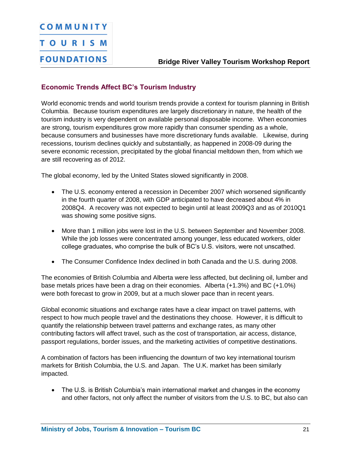# COMMUNITY **TOURISM FOUNDATIONS**

## <span id="page-22-0"></span>**Economic Trends Affect BC's Tourism Industry**

World economic trends and world tourism trends provide a context for tourism planning in British Columbia. Because tourism expenditures are largely discretionary in nature, the health of the tourism industry is very dependent on available personal disposable income. When economies are strong, tourism expenditures grow more rapidly than consumer spending as a whole, because consumers and businesses have more discretionary funds available. Likewise, during recessions, tourism declines quickly and substantially, as happened in 2008-09 during the severe economic recession, precipitated by the global financial meltdown then, from which we are still recovering as of 2012.

The global economy, led by the United States slowed significantly in 2008.

- The U.S. economy entered a recession in December 2007 which worsened significantly in the fourth quarter of 2008, with GDP anticipated to have decreased about 4% in 2008Q4. A recovery was not expected to begin until at least 2009Q3 and as of 2010Q1 was showing some positive signs.
- More than 1 million jobs were lost in the U.S. between September and November 2008. While the job losses were concentrated among younger, less educated workers, older college graduates, who comprise the bulk of BC's U.S. visitors, were not unscathed.
- The Consumer Confidence Index declined in both Canada and the U.S. during 2008.

The economies of British Columbia and Alberta were less affected, but declining oil, lumber and base metals prices have been a drag on their economies. Alberta (+1.3%) and BC (+1.0%) were both forecast to grow in 2009, but at a much slower pace than in recent years.

Global economic situations and exchange rates have a clear impact on travel patterns, with respect to how much people travel and the destinations they choose. However, it is difficult to quantify the relationship between travel patterns and exchange rates, as many other contributing factors will affect travel, such as the cost of transportation, air access, distance, passport regulations, border issues, and the marketing activities of competitive destinations.

A combination of factors has been influencing the downturn of two key international tourism markets for British Columbia, the U.S. and Japan. The U.K. market has been similarly impacted.

• The U.S. is British Columbia's main international market and changes in the economy and other factors, not only affect the number of visitors from the U.S. to BC, but also can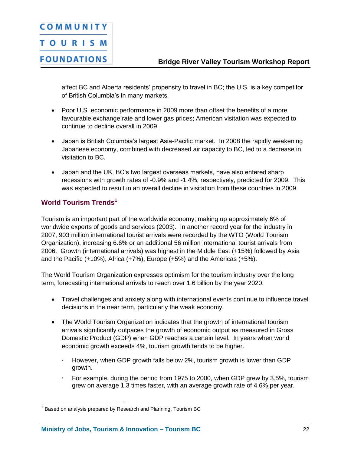**TOURISM** 

# **FOUNDATIONS**

#### **Bridge River Valley Tourism Workshop Report**

affect BC and Alberta residents' propensity to travel in BC; the U.S. is a key competitor of British Columbia's in many markets.

- Poor U.S. economic performance in 2009 more than offset the benefits of a more favourable exchange rate and lower gas prices; American visitation was expected to continue to decline overall in 2009.
- Japan is British Columbia's largest Asia-Pacific market. In 2008 the rapidly weakening Japanese economy, combined with decreased air capacity to BC, led to a decrease in visitation to BC.
- Japan and the UK, BC's two largest overseas markets, have also entered sharp recessions with growth rates of -0.9% and -1.4%, respectively, predicted for 2009. This was expected to result in an overall decline in visitation from these countries in 2009.

## <span id="page-23-0"></span>**World Tourism Trends<sup>1</sup>**

l

Tourism is an important part of the worldwide economy, making up approximately 6% of worldwide exports of goods and services (2003). In another record year for the industry in 2007, 903 million international tourist arrivals were recorded by the WTO (World Tourism Organization), increasing 6.6% or an additional 56 million international tourist arrivals from 2006. Growth (international arrivals) was highest in the Middle East (+15%) followed by Asia and the Pacific (+10%), Africa (+7%), Europe (+5%) and the Americas (+5%).

The World Tourism Organization expresses optimism for the tourism industry over the long term, forecasting international arrivals to reach over 1.6 billion by the year 2020.

- Travel challenges and anxiety along with international events continue to influence travel decisions in the near term, particularly the weak economy.
- The World Tourism Organization indicates that the growth of international tourism arrivals significantly outpaces the growth of economic output as measured in Gross Domestic Product (GDP) when GDP reaches a certain level. In years when world economic growth exceeds 4%, tourism growth tends to be higher.
	- However, when GDP growth falls below 2%, tourism growth is lower than GDP growth.
	- For example, during the period from 1975 to 2000, when GDP grew by 3.5%, tourism grew on average 1.3 times faster, with an average growth rate of 4.6% per year.

 $1$  Based on analysis prepared by Research and Planning, Tourism BC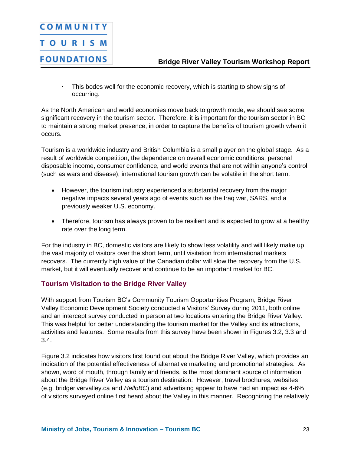# COMMUNITY **TOURISM FOUNDATIONS**

#### **Bridge River Valley Tourism Workshop Report**

 This bodes well for the economic recovery, which is starting to show signs of occurring.

As the North American and world economies move back to growth mode, we should see some significant recovery in the tourism sector. Therefore, it is important for the tourism sector in BC to maintain a strong market presence, in order to capture the benefits of tourism growth when it occurs.

Tourism is a worldwide industry and British Columbia is a small player on the global stage. As a result of worldwide competition, the dependence on overall economic conditions, personal disposable income, consumer confidence, and world events that are not within anyone's control (such as wars and disease), international tourism growth can be volatile in the short term.

- However, the tourism industry experienced a substantial recovery from the major negative impacts several years ago of events such as the Iraq war, SARS, and a previously weaker U.S. economy.
- Therefore, tourism has always proven to be resilient and is expected to grow at a healthy rate over the long term.

For the industry in BC, domestic visitors are likely to show less volatility and will likely make up the vast majority of visitors over the short term, until visitation from international markets recovers. The currently high value of the Canadian dollar will slow the recovery from the U.S. market, but it will eventually recover and continue to be an important market for BC.

#### <span id="page-24-0"></span>**Tourism Visitation to the Bridge River Valley**

With support from Tourism BC's Community Tourism Opportunities Program, Bridge River Valley Economic Development Society conducted a Visitors' Survey during 2011, both online and an intercept survey conducted in person at two locations entering the Bridge River Valley. This was helpful for better understanding the tourism market for the Valley and its attractions, activities and features. Some results from this survey have been shown in Figures 3.2, 3.3 and 3.4.

Figure 3.2 indicates how visitors first found out about the Bridge River Valley, which provides an indication of the potential effectiveness of alternative marketing and promotional strategies. As shown, word of mouth, through family and friends, is the most dominant source of information about the Bridge River Valley as a tourism destination. However, travel brochures, websites (e.g. bridgerivervalley.ca and *HelloBC*) and advertising appear to have had an impact as 4-6% of visitors surveyed online first heard about the Valley in this manner. Recognizing the relatively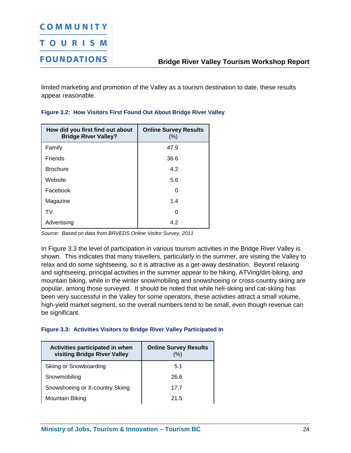# COMMUNITY **TOURISM FOUNDATIONS**

limited marketing and promotion of the Valley as a tourism destination to date, these results appear reasonable.

| How did you first find out about<br><b>Bridge River Valley?</b> | <b>Online Survey Results</b><br>(% ) |
|-----------------------------------------------------------------|--------------------------------------|
| Family                                                          | 47.9                                 |
| <b>Friends</b>                                                  | 36.6                                 |
| <b>Brochure</b>                                                 | 4.2                                  |
| Website                                                         | 5.6                                  |
| Facebook                                                        | 0                                    |
| Magazine                                                        | 1.4                                  |
| TV                                                              | 0                                    |
| Advertising                                                     | 4.2                                  |

#### **Figure 3.2: How Visitors First Found Out About Bridge River Valley**

*Source: Based on data from BRVEDS Online Visitor Survey, 2011*

In Figure 3.3 the level of participation in various tourism activities in the Bridge River Valley is shown. This indicates that many travellers, particularly in the summer, are visiting the Valley to relax and do some sightseeing, so it is attractive as a get-away destination. Beyond relaxing and sightseeing, principal activities in the summer appear to be hiking, ATVing/dirt-biking, and mountain biking, while in the winter snowmobiling and snowshoeing or cross-country skiing are popular, among those surveyed. It should be noted that while heli-skiing and cat-skiing has been very successful in the Valley for some operators, these activities attract a small volume, high-yield market segment, so the overall numbers tend to be small, even though revenue can be significant.

| Activities participated in when<br>visiting Bridge River Valley | <b>Online Survey Results</b><br>(%) |
|-----------------------------------------------------------------|-------------------------------------|
| Skiing or Snowboarding                                          | 5.1                                 |
| Snowmobiling                                                    | 26.6                                |
| Snowshoeing or X-country Skiing                                 | 17.7                                |
| Mountain Biking                                                 | 21.5                                |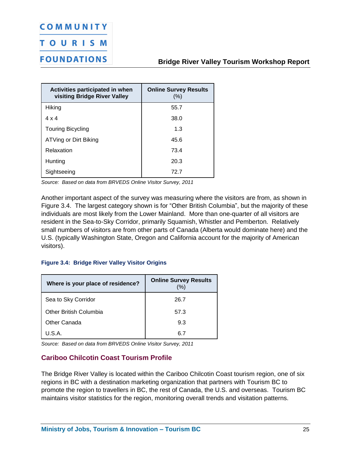## **TOURISM**

# **FOUNDATIONS**

#### **Bridge River Valley Tourism Workshop Report**

| Activities participated in when<br>visiting Bridge River Valley | <b>Online Survey Results</b><br>$(\%)$ |
|-----------------------------------------------------------------|----------------------------------------|
| Hiking                                                          | 55.7                                   |
| $4 \times 4$                                                    | 38.0                                   |
| <b>Touring Bicycling</b>                                        | 1.3                                    |
| ATVing or Dirt Biking                                           | 45.6                                   |
| Relaxation                                                      | 73.4                                   |
| Hunting                                                         | 20.3                                   |
| Sightseeing                                                     | 72.7                                   |

*Source: Based on data from BRVEDS Online Visitor Survey, 2011*

Another important aspect of the survey was measuring where the visitors are from, as shown in Figure 3.4. The largest category shown is for "Other British Columbia", but the majority of these individuals are most likely from the Lower Mainland. More than one-quarter of all visitors are resident in the Sea-to-Sky Corridor, primarily Squamish, Whistler and Pemberton. Relatively small numbers of visitors are from other parts of Canada (Alberta would dominate here) and the U.S. (typically Washington State, Oregon and California account for the majority of American visitors).

#### **Figure 3.4: Bridge River Valley Visitor Origins**

| Where is your place of residence? | <b>Online Survey Results</b><br>(%) |
|-----------------------------------|-------------------------------------|
| Sea to Sky Corridor               | 26.7                                |
| Other British Columbia            | 57.3                                |
| Other Canada                      | 9.3                                 |
| U.S.A.                            | 6 7                                 |

<span id="page-26-0"></span>*Source: Based on data from BRVEDS Online Visitor Survey, 2011*

#### *2B***Cariboo Chilcotin Coast Tourism Profile**

The Bridge River Valley is located within the Cariboo Chilcotin Coast tourism region, one of six regions in BC with a destination marketing organization that partners with Tourism BC to promote the region to travellers in BC, the rest of Canada, the U.S. and overseas. Tourism BC maintains visitor statistics for the region, monitoring overall trends and visitation patterns.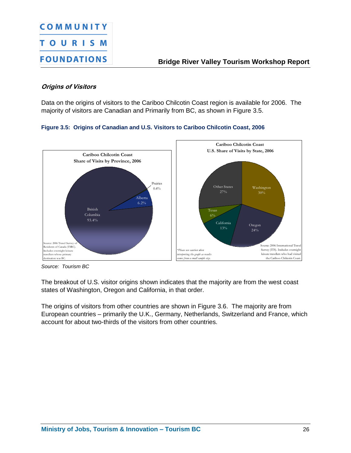# COMMUNITY **TOURISM FOUNDATIONS**

#### <span id="page-27-0"></span>**Origins of Visitors**

Data on the origins of visitors to the Cariboo Chilcotin Coast region is available for 2006. The majority of visitors are Canadian and Primarily from BC, as shown in Figure 3.5.





*Source: Tourism BC*

The breakout of U.S. visitor origins shown indicates that the majority are from the west coast states of Washington, Oregon and California, in that order.

The origins of visitors from other countries are shown in Figure 3.6. The majority are from European countries – primarily the U.K., Germany, Netherlands, Switzerland and France, which account for about two-thirds of the visitors from other countries.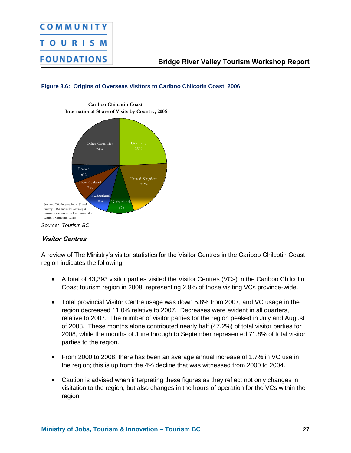COMMUNITY **TOURISM FOUNDATIONS** 

#### **Bridge River Valley Tourism Workshop Report**



#### **Figure 3.6: Origins of Overseas Visitors to Cariboo Chilcotin Coast, 2006**

<span id="page-28-0"></span>*Source: Tourism BC*

#### **Visitor Centres**

A review of The Ministry's visitor statistics for the Visitor Centres in the Cariboo Chilcotin Coast region indicates the following:

- A total of 43,393 visitor parties visited the Visitor Centres (VCs) in the Cariboo Chilcotin Coast tourism region in 2008, representing 2.8% of those visiting VCs province-wide.
- Total provincial Visitor Centre usage was down 5.8% from 2007, and VC usage in the region decreased 11.0% relative to 2007. Decreases were evident in all quarters, relative to 2007. The number of visitor parties for the region peaked in July and August of 2008. These months alone contributed nearly half (47.2%) of total visitor parties for 2008, while the months of June through to September represented 71.8% of total visitor parties to the region.
- From 2000 to 2008, there has been an average annual increase of 1.7% in VC use in the region; this is up from the 4% decline that was witnessed from 2000 to 2004.
- Caution is advised when interpreting these figures as they reflect not only changes in visitation to the region, but also changes in the hours of operation for the VCs within the region.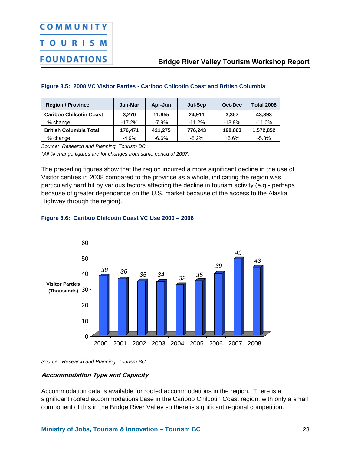**TOURISM** 

# **FOUNDATIONS**

#### **Bridge River Valley Tourism Workshop Report**

#### **Figure 3.5: 2008 VC Visitor Parties - Cariboo Chilcotin Coast and British Columbia**

| <b>Region / Province</b>       | Jan-Mar | Apr-Jun  | Jul-Sep  | Oct-Dec   | <b>Total 2008</b> |
|--------------------------------|---------|----------|----------|-----------|-------------------|
| <b>Cariboo Chilcotin Coast</b> | 3,270   | 11,855   | 24.911   | 3.357     | 43,393            |
| % change                       | -17.2%  | $-7.9\%$ | $-11.2%$ | $-13.8\%$ | $-11.0\%$         |
| <b>British Columbia Total</b>  | 176,471 | 421,275  | 776,243  | 198,863   | 1,572,852         |
| % change                       | $-4.9%$ | $-6.6%$  | $-8.2\%$ | $+5.6%$   | $-5.8%$           |

*Source: Research and Planning, Tourism BC*

*\*All % change figures are for changes from same period of 2007.*

The preceding figures show that the region incurred a more significant decline in the use of Visitor centres in 2008 compared to the province as a whole, indicating the region was particularly hard hit by various factors affecting the decline in tourism activity (e.g.- perhaps because of greater dependence on the U.S. market because of the access to the Alaska Highway through the region).





<span id="page-29-0"></span>*Source: Research and Planning, Tourism BC*

#### **Accommodation Type and Capacity**

Accommodation data is available for roofed accommodations in the region. There is a significant roofed accommodations base in the Cariboo Chilcotin Coast region, with only a small component of this in the Bridge River Valley so there is significant regional competition.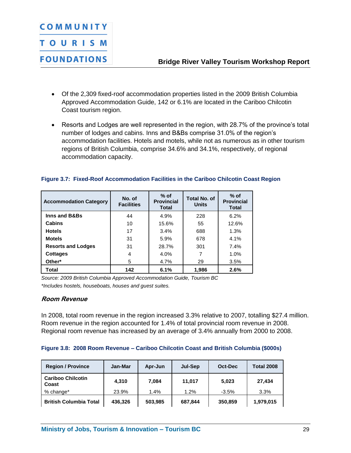# COMMUNITY **TOURISM**

**FOUNDATIONS** 

#### **Bridge River Valley Tourism Workshop Report**

- Of the 2,309 fixed-roof accommodation properties listed in the 2009 British Columbia Approved Accommodation Guide, 142 or 6.1% are located in the Cariboo Chilcotin Coast tourism region.
- Resorts and Lodges are well represented in the region, with 28.7% of the province's total number of lodges and cabins. Inns and B&Bs comprise 31.0% of the region's accommodation facilities. Hotels and motels, while not as numerous as in other tourism regions of British Columbia, comprise 34.6% and 34.1%, respectively, of regional accommodation capacity.

#### **Figure 3.7: Fixed-Roof Accommodation Facilities in the Cariboo Chilcotin Coast Region**

| <b>Accommodation Category</b> | No. of<br><b>Facilities</b> | $%$ of<br><b>Provincial</b><br><b>Total</b> | <b>Total No. of</b><br><b>Units</b> | $%$ of<br><b>Provincial</b><br><b>Total</b> |
|-------------------------------|-----------------------------|---------------------------------------------|-------------------------------------|---------------------------------------------|
| Inns and B&Bs                 | 44                          | 4.9%                                        | 228                                 | 6.2%                                        |
| <b>Cabins</b>                 | 10                          | 15.6%                                       | 55                                  | 12.6%                                       |
| <b>Hotels</b>                 | 17                          | 3.4%                                        | 688                                 | 1.3%                                        |
| <b>Motels</b>                 | 31                          | 5.9%                                        | 678                                 | 4.1%                                        |
| <b>Resorts and Lodges</b>     | 31                          | 28.7%                                       | 301                                 | 7.4%                                        |
| <b>Cottages</b>               | 4                           | 4.0%                                        | 7                                   | 1.0%                                        |
| Other*                        | 5                           | 4.7%                                        | 29                                  | 3.5%                                        |
| Total                         | 142                         | 6.1%                                        | 1,986                               | 2.6%                                        |

*Source: 2009 British Columbia Approved Accommodation Guide, Tourism BC \*Includes hostels, houseboats, houses and guest suites.*

#### <span id="page-30-0"></span>**Room Revenue**

In 2008, total room revenue in the region increased 3.3% relative to 2007, totalling \$27.4 million. Room revenue in the region accounted for 1.4% of total provincial room revenue in 2008. Regional room revenue has increased by an average of 3.4% annually from 2000 to 2008.

#### **Figure 3.8: 2008 Room Revenue – Cariboo Chilcotin Coast and British Columbia (\$000s)**

| <b>Region / Province</b>          | Jan-Mar | Apr-Jun | Jul-Sep | Oct-Dec | <b>Total 2008</b> |
|-----------------------------------|---------|---------|---------|---------|-------------------|
| <b>Cariboo Chilcotin</b><br>Coast | 4.310   | 7.084   | 11,017  | 5,023   | 27.434            |
| % change*                         | 23.9%   | 1.4%    | 1.2%    | $-3.5%$ | 3.3%              |
| <b>British Columbia Total</b>     | 436,326 | 503,985 | 687,844 | 350,859 | 1,979,015         |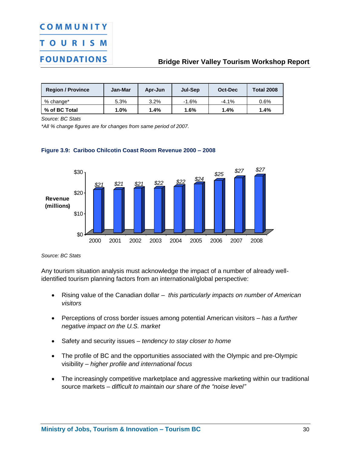## **TOURISM**

# **FOUNDATIONS**

### **Bridge River Valley Tourism Workshop Report**

| <b>Region / Province</b> | Jan-Mar | Apr-Jun | Jul-Sep | Oct-Dec | <b>Total 2008</b> |
|--------------------------|---------|---------|---------|---------|-------------------|
| % change*                | 5.3%    | 3.2%    | $-1.6%$ | $-4.1%$ | 0.6%              |
| % of BC Total            | 1.0%    | 1.4%    | $1.6\%$ | 1.4%    | 1.4%              |

*Source: BC Stats*

*\*All % change figures are for changes from same period of 2007.*



#### **Figure 3.9: Cariboo Chilcotin Coast Room Revenue 2000 – 2008**

Any tourism situation analysis must acknowledge the impact of a number of already wellidentified tourism planning factors from an international/global perspective:

- Rising value of the Canadian dollar *this particularly impacts on number of American visitors*
- Perceptions of cross border issues among potential American visitors *has a further negative impact on the U.S. market*
- Safety and security issues *tendency to stay closer to home*
- The profile of BC and the opportunities associated with the Olympic and pre-Olympic visibility – *higher profile and international focus*
- The increasingly competitive marketplace and aggressive marketing within our traditional source markets – *difficult to maintain our share of the "noise level"*

*Source: BC Stats*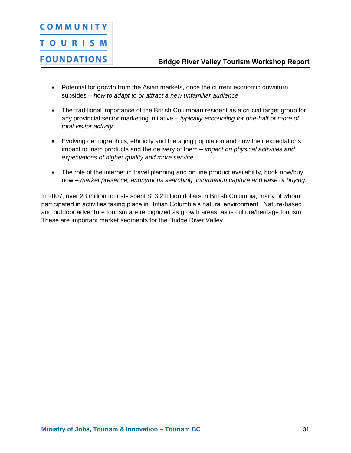## **TOURISM**

## **FOUNDATIONS**

#### **Bridge River Valley Tourism Workshop Report**

- Potential for growth from the Asian markets, once the current economic downturn subsides – *how to adapt to or attract a new unfamiliar audience*
- The traditional importance of the British Columbian resident as a crucial target group for any provincial sector marketing initiative – *typically accounting for one-half or more of total visitor activity*
- Evolving demographics, ethnicity and the aging population and how their expectations impact tourism products and the delivery of them – *impact on physical activities and expectations of higher quality and more service*
- The role of the internet in travel planning and on line product availability, book now/buy now – *market presence, anonymous searching, information capture and ease of buying.*

In 2007, over 23 million tourists spent \$13.2 billion dollars in British Columbia, many of whom participated in activities taking place in British Columbia's natural environment. Nature-based and outdoor adventure tourism are recognized as growth areas, as is culture/heritage tourism. These are important market segments for the Bridge River Valley.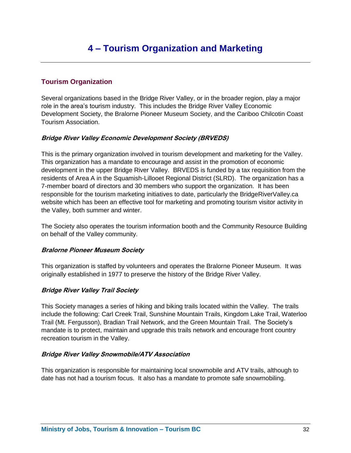## <span id="page-33-1"></span><span id="page-33-0"></span>**Tourism Organization**

Several organizations based in the Bridge River Valley, or in the broader region, play a major role in the area's tourism industry. This includes the Bridge River Valley Economic Development Society, the Bralorne Pioneer Museum Society, and the Cariboo Chilcotin Coast Tourism Association.

### **Bridge River Valley Economic Development Society (BRVEDS)**

This is the primary organization involved in tourism development and marketing for the Valley. This organization has a mandate to encourage and assist in the promotion of economic development in the upper Bridge River Valley. BRVEDS is funded by a tax requisition from the residents of Area A in the Squamish-Lillooet Regional District (SLRD). The organization has a 7-member board of directors and 30 members who support the organization. It has been responsible for the tourism marketing initiatives to date, particularly the BridgeRiverValley.ca website which has been an effective tool for marketing and promoting tourism visitor activity in the Valley, both summer and winter.

The Society also operates the tourism information booth and the Community Resource Building on behalf of the Valley community.

#### **Bralorne Pioneer Museum Society**

This organization is staffed by volunteers and operates the Bralorne Pioneer Museum. It was originally established in 1977 to preserve the history of the Bridge River Valley.

## **Bridge River Valley Trail Society**

This Society manages a series of hiking and biking trails located within the Valley. The trails include the following: Carl Creek Trail, Sunshine Mountain Trails, Kingdom Lake Trail, Waterloo Trail (Mt. Fergusson), Bradian Trail Network, and the Green Mountain Trail. The Society's mandate is to protect, maintain and upgrade this trails network and encourage front country recreation tourism in the Valley.

#### **Bridge River Valley Snowmobile/ATV Association**

This organization is responsible for maintaining local snowmobile and ATV trails, although to date has not had a tourism focus. It also has a mandate to promote safe snowmobiling.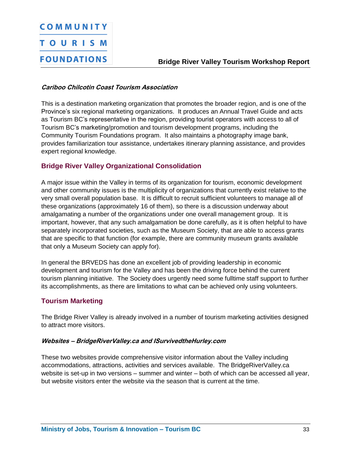# COMMUNITY **TOURISM FOUNDATIONS**

#### **Bridge River Valley Tourism Workshop Report**

#### **Cariboo Chilcotin Coast Tourism Association**

This is a destination marketing organization that promotes the broader region, and is one of the Province's six regional marketing organizations. It produces an Annual Travel Guide and acts as Tourism BC's representative in the region, providing tourist operators with access to all of Tourism BC's marketing/promotion and tourism development programs, including the Community Tourism Foundations program. It also maintains a photography image bank, provides familiarization tour assistance, undertakes itinerary planning assistance, and provides expert regional knowledge.

### <span id="page-34-0"></span>**Bridge River Valley Organizational Consolidation**

A major issue within the Valley in terms of its organization for tourism, economic development and other community issues is the multiplicity of organizations that currently exist relative to the very small overall population base. It is difficult to recruit sufficient volunteers to manage all of these organizations (approximately 16 of them), so there is a discussion underway about amalgamating a number of the organizations under one overall management group. It is important, however, that any such amalgamation be done carefully, as it is often helpful to have separately incorporated societies, such as the Museum Society, that are able to access grants that are specific to that function (for example, there are community museum grants available that only a Museum Society can apply for).

In general the BRVEDS has done an excellent job of providing leadership in economic development and tourism for the Valley and has been the driving force behind the current tourism planning initiative. The Society does urgently need some fulltime staff support to further its accomplishments, as there are limitations to what can be achieved only using volunteers.

#### <span id="page-34-1"></span>**Tourism Marketing**

The Bridge River Valley is already involved in a number of tourism marketing activities designed to attract more visitors.

#### **Websites – BridgeRiverValley.ca and ISurvivedtheHurley.com**

These two websites provide comprehensive visitor information about the Valley including accommodations, attractions, activities and services available. The BridgeRiverValley.ca website is set-up in two versions – summer and winter – both of which can be accessed all year, but website visitors enter the website via the season that is current at the time.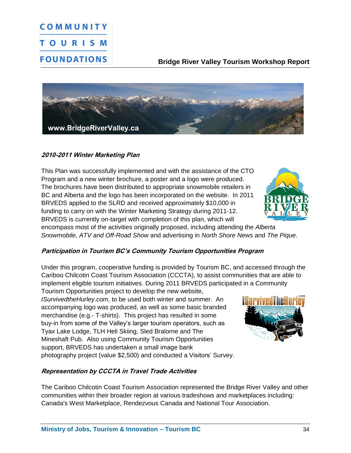# **TOURISM FOUNDATIONS**

COMMUNITY

### **Bridge River Valley Tourism Workshop Report**

### **2010-2011 Winter Marketing Plan**

www.BridgeRiverValley.ca

This Plan was successfully implemented and with the assistance of the CTO Program and a new winter brochure, a poster and a logo were produced. The brochures have been distributed to appropriate snowmobile retailers in BC and Alberta and the logo has been incorporated on the website. In 2011 BRVEDS applied to the SLRD and received approximately \$10,000 in funding to carry on with the Winter Marketing Strategy during 2011-12. BRVEDS is currently on-target with completion of this plan, which will

encompass most of the activities originally proposed, including attending the *Alberta Snowmobile, ATV and Off-Road Show* and advertising in *North Shore News* and *The Pique.* 

## **Participation in Tourism BC's Community Tourism Opportunities Program**

Under this program, cooperative funding is provided by Tourism BC, and accessed through the Cariboo Chilcotin Coast Tourism Association (CCCTA), to assist communities that are able to implement eligible tourism initiatives. During 2011 BRVEDS participated in a Community

Tourism Opportunities project to develop the new website, *ISurvivedtheHurley.com,* to be used both winter and summer. An accompanying logo was produced, as well as some basic branded merchandise (e.g.- T-shirts). This project has resulted in some buy-in from some of the Valley's larger tourism operators, such as Tyax Lake Lodge, TLH Heli Skiing, Sled Bralorne and The Mineshaft Pub. Also using Community Tourism Opportunities support, BRVEDS has undertaken a small image bank photography project (value \$2,500) and conducted a Visitors' Survey.

## **Representation by CCCTA in Travel Trade Activities**

The Cariboo Chilcotin Coast Tourism Association represented the Bridge River Valley and other communities within their broader region at various tradeshows and marketplaces including: Canada's West Marketplace, Rendezvous Canada and National Tour Association.



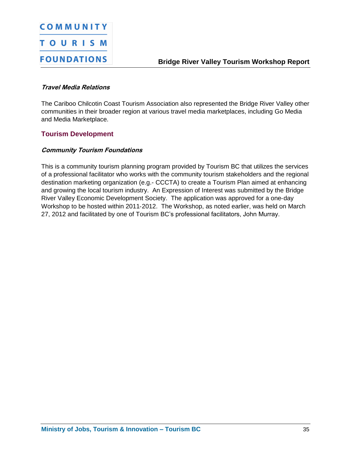# COMMUNITY **TOURISM FOUNDATIONS**

#### **Travel Media Relations**

The Cariboo Chilcotin Coast Tourism Association also represented the Bridge River Valley other communities in their broader region at various travel media marketplaces, including Go Media and Media Marketplace.

#### <span id="page-36-0"></span>**Tourism Development**

#### **Community Tourism Foundations**

This is a community tourism planning program provided by Tourism BC that utilizes the services of a professional facilitator who works with the community tourism stakeholders and the regional destination marketing organization (e.g.- CCCTA) to create a Tourism Plan aimed at enhancing and growing the local tourism industry. An Expression of Interest was submitted by the Bridge River Valley Economic Development Society. The application was approved for a one‐day Workshop to be hosted within 2011‐2012. The Workshop, as noted earlier, was held on March 27, 2012 and facilitated by one of Tourism BC's professional facilitators, John Murray.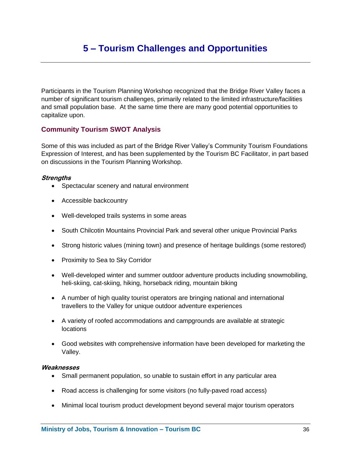# <span id="page-37-0"></span>*4B***5 – Tourism Challenges and Opportunities**

Participants in the Tourism Planning Workshop recognized that the Bridge River Valley faces a number of significant tourism challenges, primarily related to the limited infrastructure/facilities and small population base. At the same time there are many good potential opportunities to capitalize upon.

#### <span id="page-37-1"></span>**Community Tourism SWOT Analysis**

Some of this was included as part of the Bridge River Valley's Community Tourism Foundations Expression of Interest, and has been supplemented by the Tourism BC Facilitator, in part based on discussions in the Tourism Planning Workshop.

#### **Strengths**

- Spectacular scenery and natural environment
- Accessible backcountry
- Well-developed trails systems in some areas
- South Chilcotin Mountains Provincial Park and several other unique Provincial Parks
- Strong historic values (mining town) and presence of heritage buildings (some restored)
- Proximity to Sea to Sky Corridor
- Well-developed winter and summer outdoor adventure products including snowmobiling, heli-skiing, cat-skiing, hiking, horseback riding, mountain biking
- A number of high quality tourist operators are bringing national and international travellers to the Valley for unique outdoor adventure experiences
- A variety of roofed accommodations and campgrounds are available at strategic locations
- Good websites with comprehensive information have been developed for marketing the Valley.

#### **Weaknesses**

- Small permanent population, so unable to sustain effort in any particular area
- Road access is challenging for some visitors (no fully-paved road access)
- Minimal local tourism product development beyond several major tourism operators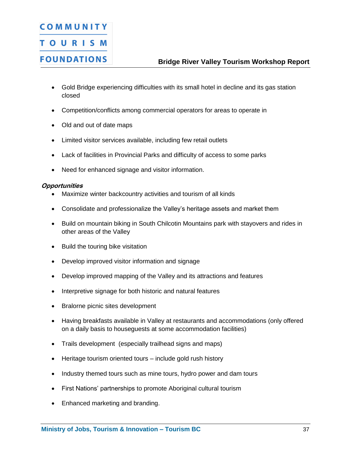## **TOURISM**

# **FOUNDATIONS**

#### **Bridge River Valley Tourism Workshop Report**

- Gold Bridge experiencing difficulties with its small hotel in decline and its gas station closed
- Competition/conflicts among commercial operators for areas to operate in
- Old and out of date maps
- Limited visitor services available, including few retail outlets
- Lack of facilities in Provincial Parks and difficulty of access to some parks
- Need for enhanced signage and visitor information.

#### **Opportunities**

- Maximize winter backcountry activities and tourism of all kinds
- Consolidate and professionalize the Valley's heritage assets and market them
- Build on mountain biking in South Chilcotin Mountains park with stayovers and rides in other areas of the Valley
- Build the touring bike visitation
- Develop improved visitor information and signage
- Develop improved mapping of the Valley and its attractions and features
- Interpretive signage for both historic and natural features
- Bralorne picnic sites development
- Having breakfasts available in Valley at restaurants and accommodations (only offered on a daily basis to houseguests at some accommodation facilities)
- Trails development (especially trailhead signs and maps)
- Heritage tourism oriented tours include gold rush history
- Industry themed tours such as mine tours, hydro power and dam tours
- First Nations' partnerships to promote Aboriginal cultural tourism
- Enhanced marketing and branding.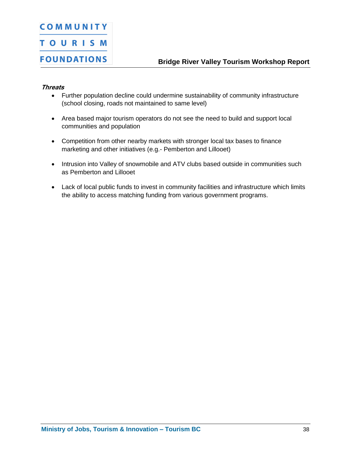## **TOURISM**

## **FOUNDATIONS**

#### **Bridge River Valley Tourism Workshop Report**

#### **Threats**

- Further population decline could undermine sustainability of community infrastructure (school closing, roads not maintained to same level)
- Area based major tourism operators do not see the need to build and support local communities and population
- Competition from other nearby markets with stronger local tax bases to finance marketing and other initiatives (e.g.- Pemberton and Lillooet)
- Intrusion into Valley of snowmobile and ATV clubs based outside in communities such as Pemberton and Lillooet
- Lack of local public funds to invest in community facilities and infrastructure which limits the ability to access matching funding from various government programs.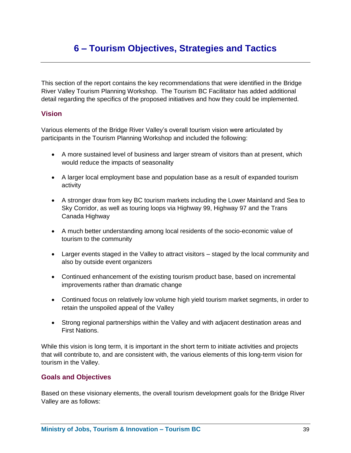# <span id="page-40-0"></span>*5B***6 – Tourism Objectives, Strategies and Tactics**

This section of the report contains the key recommendations that were identified in the Bridge River Valley Tourism Planning Workshop. The Tourism BC Facilitator has added additional detail regarding the specifics of the proposed initiatives and how they could be implemented.

#### <span id="page-40-1"></span>**Vision**

Various elements of the Bridge River Valley's overall tourism vision were articulated by participants in the Tourism Planning Workshop and included the following:

- A more sustained level of business and larger stream of visitors than at present, which would reduce the impacts of seasonality
- A larger local employment base and population base as a result of expanded tourism activity
- A stronger draw from key BC tourism markets including the Lower Mainland and Sea to Sky Corridor, as well as touring loops via Highway 99, Highway 97 and the Trans Canada Highway
- A much better understanding among local residents of the socio-economic value of tourism to the community
- Larger events staged in the Valley to attract visitors staged by the local community and also by outside event organizers
- Continued enhancement of the existing tourism product base, based on incremental improvements rather than dramatic change
- Continued focus on relatively low volume high yield tourism market segments, in order to retain the unspoiled appeal of the Valley
- Strong regional partnerships within the Valley and with adjacent destination areas and First Nations.

While this vision is long term, it is important in the short term to initiate activities and projects that will contribute to, and are consistent with, the various elements of this long-term vision for tourism in the Valley.

#### <span id="page-40-2"></span>*28B***Goals and Objectives**

Based on these visionary elements, the overall tourism development goals for the Bridge River Valley are as follows: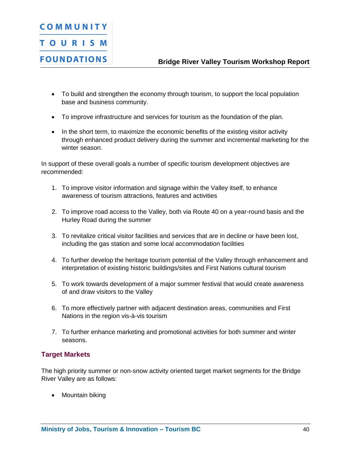## **TOURISM**

**FOUNDATIONS** 

#### **Bridge River Valley Tourism Workshop Report**

- To build and strengthen the economy through tourism, to support the local population base and business community.
- To improve infrastructure and services for tourism as the foundation of the plan.
- In the short term, to maximize the economic benefits of the existing visitor activity through enhanced product delivery during the summer and incremental marketing for the winter season.

In support of these overall goals a number of specific tourism development objectives are recommended:

- 1. To improve visitor information and signage within the Valley itself, to enhance awareness of tourism attractions, features and activities
- 2. To improve road access to the Valley, both via Route 40 on a year-round basis and the Hurley Road during the summer
- 3. To revitalize critical visitor facilities and services that are in decline or have been lost, including the gas station and some local accommodation facilities
- 4. To further develop the heritage tourism potential of the Valley through enhancement and interpretation of existing historic buildings/sites and First Nations cultural tourism
- 5. To work towards development of a major summer festival that would create awareness of and draw visitors to the Valley
- 6. To more effectively partner with adjacent destination areas, communities and First Nations in the region vis-à-vis tourism
- 7. To further enhance marketing and promotional activities for both summer and winter seasons.

#### <span id="page-41-0"></span>**Target Markets**

The high priority summer or non-snow activity oriented target market segments for the Bridge River Valley are as follows:

• Mountain biking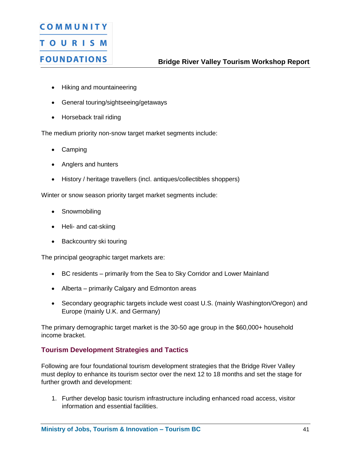# **TOURISM**

**FOUNDATIONS** 

- Hiking and mountaineering
- General touring/sightseeing/getaways
- Horseback trail riding

The medium priority non-snow target market segments include:

- Camping
- Anglers and hunters
- History / heritage travellers (incl. antiques/collectibles shoppers)

Winter or snow season priority target market segments include:

- Snowmobiling
- Heli- and cat-skiing
- Backcountry ski touring

The principal geographic target markets are:

- BC residents primarily from the Sea to Sky Corridor and Lower Mainland
- Alberta primarily Calgary and Edmonton areas
- Secondary geographic targets include west coast U.S. (mainly Washington/Oregon) and Europe (mainly U.K. and Germany)

The primary demographic target market is the 30-50 age group in the \$60,000+ household income bracket.

#### <span id="page-42-0"></span>**Tourism Development Strategies and Tactics**

Following are four foundational tourism development strategies that the Bridge River Valley must deploy to enhance its tourism sector over the next 12 to 18 months and set the stage for further growth and development:

1. Further develop basic tourism infrastructure including enhanced road access, visitor information and essential facilities.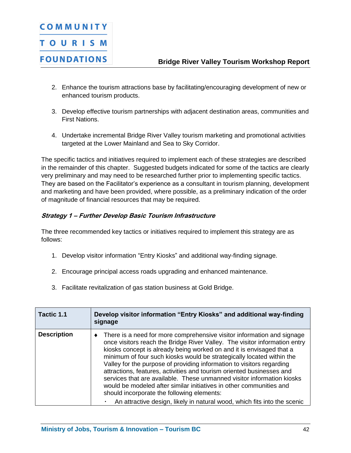## **TOURISM**

# **FOUNDATIONS**

#### **Bridge River Valley Tourism Workshop Report**

- 2. Enhance the tourism attractions base by facilitating/encouraging development of new or enhanced tourism products.
- 3. Develop effective tourism partnerships with adjacent destination areas, communities and First Nations.
- 4. Undertake incremental Bridge River Valley tourism marketing and promotional activities targeted at the Lower Mainland and Sea to Sky Corridor.

The specific tactics and initiatives required to implement each of these strategies are described in the remainder of this chapter. Suggested budgets indicated for some of the tactics are clearly very preliminary and may need to be researched further prior to implementing specific tactics. They are based on the Facilitator's experience as a consultant in tourism planning, development and marketing and have been provided, where possible, as a preliminary indication of the order of magnitude of financial resources that may be required.

#### **Strategy 1 – Further Develop Basic Tourism Infrastructure**

The three recommended key tactics or initiatives required to implement this strategy are as follows:

- 1. Develop visitor information "Entry Kiosks" and additional way-finding signage.
- 2. Encourage principal access roads upgrading and enhanced maintenance.
- 3. Facilitate revitalization of gas station business at Gold Bridge.

| Tactic 1.1         | Develop visitor information "Entry Kiosks" and additional way-finding<br>signage                                                                                                                                                                                                                                                                                                                                                                                                                                                                                                                                                                                                                                                        |
|--------------------|-----------------------------------------------------------------------------------------------------------------------------------------------------------------------------------------------------------------------------------------------------------------------------------------------------------------------------------------------------------------------------------------------------------------------------------------------------------------------------------------------------------------------------------------------------------------------------------------------------------------------------------------------------------------------------------------------------------------------------------------|
| <b>Description</b> | There is a need for more comprehensive visitor information and signage<br>٠<br>once visitors reach the Bridge River Valley. The visitor information entry<br>kiosks concept is already being worked on and it is envisaged that a<br>minimum of four such kiosks would be strategically located within the<br>Valley for the purpose of providing information to visitors regarding<br>attractions, features, activities and tourism oriented businesses and<br>services that are available. These unmanned visitor information kiosks<br>would be modeled after similar initiatives in other communities and<br>should incorporate the following elements:<br>An attractive design, likely in natural wood, which fits into the scenic |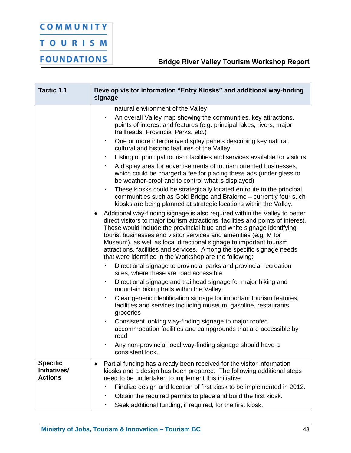**TOURISM** 

**FOUNDATIONS** 

| Tactic 1.1                                        | Develop visitor information "Entry Kiosks" and additional way-finding<br>signage                                                                                                                                                                                                                                                                                                                                                                                                                                              |
|---------------------------------------------------|-------------------------------------------------------------------------------------------------------------------------------------------------------------------------------------------------------------------------------------------------------------------------------------------------------------------------------------------------------------------------------------------------------------------------------------------------------------------------------------------------------------------------------|
|                                                   | natural environment of the Valley                                                                                                                                                                                                                                                                                                                                                                                                                                                                                             |
|                                                   | An overall Valley map showing the communities, key attractions,<br>points of interest and features (e.g. principal lakes, rivers, major<br>trailheads, Provincial Parks, etc.)                                                                                                                                                                                                                                                                                                                                                |
|                                                   | One or more interpretive display panels describing key natural,<br>٠<br>cultural and historic features of the Valley                                                                                                                                                                                                                                                                                                                                                                                                          |
|                                                   | Listing of principal tourism facilities and services available for visitors<br>٠                                                                                                                                                                                                                                                                                                                                                                                                                                              |
|                                                   | A display area for advertisements of tourism oriented businesses,<br>which could be charged a fee for placing these ads (under glass to<br>be weather-proof and to control what is displayed)                                                                                                                                                                                                                                                                                                                                 |
|                                                   | These kiosks could be strategically located en route to the principal<br>communities such as Gold Bridge and Bralorne - currently four such<br>kiosks are being planned at strategic locations within the Valley.                                                                                                                                                                                                                                                                                                             |
|                                                   | Additional way-finding signage is also required within the Valley to better<br>٠<br>direct visitors to major tourism attractions, facilities and points of interest.<br>These would include the provincial blue and white signage identifying<br>tourist businesses and visitor services and amenities (e.g. M for<br>Museum), as well as local directional signage to important tourism<br>attractions, facilities and services. Among the specific signage needs<br>that were identified in the Workshop are the following: |
|                                                   | Directional signage to provincial parks and provincial recreation<br>sites, where these are road accessible                                                                                                                                                                                                                                                                                                                                                                                                                   |
|                                                   | Directional signage and trailhead signage for major hiking and<br>٠<br>mountain biking trails within the Valley                                                                                                                                                                                                                                                                                                                                                                                                               |
|                                                   | Clear generic identification signage for important tourism features,<br>٠<br>facilities and services including museum, gasoline, restaurants,<br>groceries                                                                                                                                                                                                                                                                                                                                                                    |
|                                                   | Consistent looking way-finding signage to major roofed<br>٠<br>accommodation facilities and campgrounds that are accessible by<br>road                                                                                                                                                                                                                                                                                                                                                                                        |
|                                                   | Any non-provincial local way-finding signage should have a<br>consistent look.                                                                                                                                                                                                                                                                                                                                                                                                                                                |
| <b>Specific</b><br>Initiatives/<br><b>Actions</b> | Partial funding has already been received for the visitor information<br>٠<br>kiosks and a design has been prepared. The following additional steps<br>need to be undertaken to implement this initiative:                                                                                                                                                                                                                                                                                                                    |
|                                                   | Finalize design and location of first kiosk to be implemented in 2012.                                                                                                                                                                                                                                                                                                                                                                                                                                                        |
|                                                   | Obtain the required permits to place and build the first kiosk.                                                                                                                                                                                                                                                                                                                                                                                                                                                               |
|                                                   | Seek additional funding, if required, for the first kiosk.                                                                                                                                                                                                                                                                                                                                                                                                                                                                    |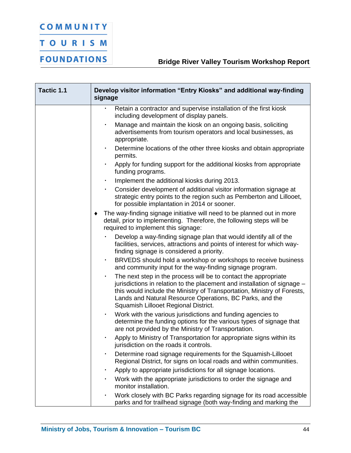## **TOURISM**

# **FOUNDATIONS**

| Tactic 1.1 | Develop visitor information "Entry Kiosks" and additional way-finding<br>signage                                                                                                                                                                                                                                           |
|------------|----------------------------------------------------------------------------------------------------------------------------------------------------------------------------------------------------------------------------------------------------------------------------------------------------------------------------|
|            | Retain a contractor and supervise installation of the first kiosk<br>٠<br>including development of display panels.                                                                                                                                                                                                         |
|            | Manage and maintain the kiosk on an ongoing basis, soliciting<br>٠<br>advertisements from tourism operators and local businesses, as<br>appropriate.                                                                                                                                                                       |
|            | Determine locations of the other three kiosks and obtain appropriate<br>٠<br>permits.                                                                                                                                                                                                                                      |
|            | Apply for funding support for the additional kiosks from appropriate<br>funding programs.                                                                                                                                                                                                                                  |
|            | Implement the additional kiosks during 2013.<br>٠                                                                                                                                                                                                                                                                          |
|            | Consider development of additional visitor information signage at<br>$\blacksquare$<br>strategic entry points to the region such as Pemberton and Lillooet,<br>for possible implantation in 2014 or sooner.                                                                                                                |
|            | The way-finding signage initiative will need to be planned out in more<br>٠<br>detail, prior to implementing. Therefore, the following steps will be<br>required to implement this signage:                                                                                                                                |
|            | Develop a way-finding signage plan that would identify all of the<br>facilities, services, attractions and points of interest for which way-<br>finding signage is considered a priority.                                                                                                                                  |
|            | BRVEDS should hold a workshop or workshops to receive business<br>٠<br>and community input for the way-finding signage program.                                                                                                                                                                                            |
|            | The next step in the process will be to contact the appropriate<br>jurisdictions in relation to the placement and installation of signage -<br>this would include the Ministry of Transportation, Ministry of Forests,<br>Lands and Natural Resource Operations, BC Parks, and the<br>Squamish Lillooet Regional District. |
|            | Work with the various jurisdictions and funding agencies to<br>٠<br>determine the funding options for the various types of signage that<br>are not provided by the Ministry of Transportation.                                                                                                                             |
|            | Apply to Ministry of Transportation for appropriate signs within its<br>jurisdiction on the roads it controls.                                                                                                                                                                                                             |
|            | Determine road signage requirements for the Squamish-Lillooet<br>٠<br>Regional District, for signs on local roads and within communities.                                                                                                                                                                                  |
|            | Apply to appropriate jurisdictions for all signage locations.<br>٠                                                                                                                                                                                                                                                         |
|            | Work with the appropriate jurisdictions to order the signage and<br>monitor installation.                                                                                                                                                                                                                                  |
|            | Work closely with BC Parks regarding signage for its road accessible<br>parks and for trailhead signage (both way-finding and marking the                                                                                                                                                                                  |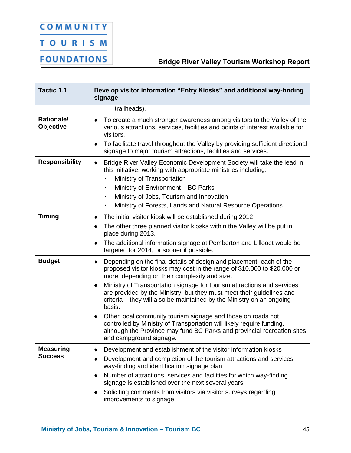**TOURISM** 

**FOUNDATIONS** 

| Tactic 1.1                            | Develop visitor information "Entry Kiosks" and additional way-finding<br>signage                                                                                                                                                                 |
|---------------------------------------|--------------------------------------------------------------------------------------------------------------------------------------------------------------------------------------------------------------------------------------------------|
|                                       | trailheads).                                                                                                                                                                                                                                     |
| <b>Rationale/</b><br><b>Objective</b> | To create a much stronger awareness among visitors to the Valley of the<br>٠<br>various attractions, services, facilities and points of interest available for<br>visitors.                                                                      |
|                                       | To facilitate travel throughout the Valley by providing sufficient directional<br>٠<br>signage to major tourism attractions, facilities and services.                                                                                            |
| <b>Responsibility</b>                 | Bridge River Valley Economic Development Society will take the lead in<br>٠<br>this initiative, working with appropriate ministries including:                                                                                                   |
|                                       | Ministry of Transportation                                                                                                                                                                                                                       |
|                                       | Ministry of Environment - BC Parks<br>٠                                                                                                                                                                                                          |
|                                       | Ministry of Jobs, Tourism and Innovation<br>٠                                                                                                                                                                                                    |
|                                       | Ministry of Forests, Lands and Natural Resource Operations.                                                                                                                                                                                      |
| <b>Timing</b>                         | The initial visitor kiosk will be established during 2012.<br>٠                                                                                                                                                                                  |
|                                       | The other three planned visitor kiosks within the Valley will be put in<br>٠<br>place during 2013.                                                                                                                                               |
|                                       | The additional information signage at Pemberton and Lillooet would be<br>٠<br>targeted for 2014, or sooner if possible.                                                                                                                          |
| <b>Budget</b>                         | Depending on the final details of design and placement, each of the<br>٠<br>proposed visitor kiosks may cost in the range of \$10,000 to \$20,000 or<br>more, depending on their complexity and size.                                            |
|                                       | Ministry of Transportation signage for tourism attractions and services<br>٠<br>are provided by the Ministry, but they must meet their guidelines and<br>criteria – they will also be maintained by the Ministry on an ongoing<br>basis.         |
|                                       | Other local community tourism signage and those on roads not<br>٠<br>controlled by Ministry of Transportation will likely require funding,<br>although the Province may fund BC Parks and provincial recreation sites<br>and campground signage. |
| <b>Measuring</b>                      | Development and establishment of the visitor information kiosks<br>٠                                                                                                                                                                             |
| <b>Success</b>                        | Development and completion of the tourism attractions and services<br>way-finding and identification signage plan                                                                                                                                |
|                                       | Number of attractions, services and facilities for which way-finding<br>٠<br>signage is established over the next several years                                                                                                                  |
|                                       | Soliciting comments from visitors via visitor surveys regarding<br>improvements to signage.                                                                                                                                                      |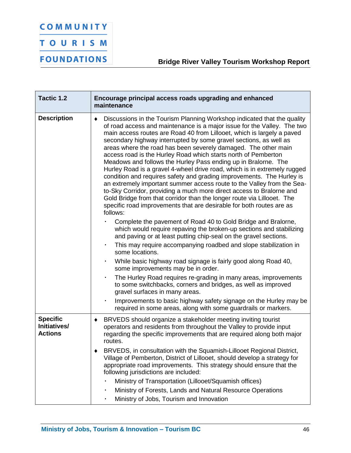**TOURISM** 

**FOUNDATIONS** 

| Tactic 1.2                                        | Encourage principal access roads upgrading and enhanced<br>maintenance                                                                                                                                                                                                                                                                                                                                                                                                                                                                                                                                                                                                                                                                                                                                                                                                                                                                                                            |
|---------------------------------------------------|-----------------------------------------------------------------------------------------------------------------------------------------------------------------------------------------------------------------------------------------------------------------------------------------------------------------------------------------------------------------------------------------------------------------------------------------------------------------------------------------------------------------------------------------------------------------------------------------------------------------------------------------------------------------------------------------------------------------------------------------------------------------------------------------------------------------------------------------------------------------------------------------------------------------------------------------------------------------------------------|
| <b>Description</b>                                | Discussions in the Tourism Planning Workshop indicated that the quality<br>٠<br>of road access and maintenance is a major issue for the Valley. The two<br>main access routes are Road 40 from Lillooet, which is largely a paved<br>secondary highway interrupted by some gravel sections, as well as<br>areas where the road has been severely damaged. The other main<br>access road is the Hurley Road which starts north of Pemberton<br>Meadows and follows the Hurley Pass ending up in Bralorne. The<br>Hurley Road is a gravel 4-wheel drive road, which is in extremely rugged<br>condition and requires safety and grading improvements. The Hurley is<br>an extremely important summer access route to the Valley from the Sea-<br>to-Sky Corridor, providing a much more direct access to Bralorne and<br>Gold Bridge from that corridor than the longer route via Lillooet. The<br>specific road improvements that are desirable for both routes are as<br>follows: |
|                                                   | Complete the pavement of Road 40 to Gold Bridge and Bralorne,<br>which would require repaving the broken-up sections and stabilizing<br>and paving or at least putting chip-seal on the gravel sections.<br>This may require accompanying roadbed and slope stabilization in<br>$\blacksquare$<br>some locations.<br>While basic highway road signage is fairly good along Road 40,<br>$\blacksquare$<br>some improvements may be in order.<br>The Hurley Road requires re-grading in many areas, improvements<br>٠                                                                                                                                                                                                                                                                                                                                                                                                                                                               |
|                                                   | to some switchbacks, corners and bridges, as well as improved<br>gravel surfaces in many areas.<br>Improvements to basic highway safety signage on the Hurley may be<br>required in some areas, along with some guardrails or markers.                                                                                                                                                                                                                                                                                                                                                                                                                                                                                                                                                                                                                                                                                                                                            |
| <b>Specific</b><br>Initiatives/<br><b>Actions</b> | BRVEDS should organize a stakeholder meeting inviting tourist<br>operators and residents from throughout the Valley to provide input<br>regarding the specific improvements that are required along both major<br>routes.                                                                                                                                                                                                                                                                                                                                                                                                                                                                                                                                                                                                                                                                                                                                                         |
|                                                   | BRVEDS, in consultation with the Squamish-Lillooet Regional District,<br>Village of Pemberton, District of Lillooet, should develop a strategy for<br>appropriate road improvements. This strategy should ensure that the<br>following jurisdictions are included:<br>Ministry of Transportation (Lillooet/Squamish offices)<br>Ministry of Forests, Lands and Natural Resource Operations<br>Ministry of Jobs, Tourism and Innovation<br>٠                                                                                                                                                                                                                                                                                                                                                                                                                                                                                                                                       |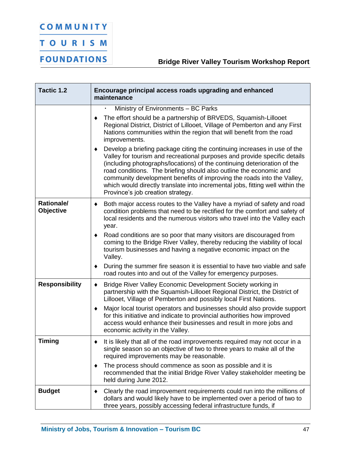**TOURISM** 

**FOUNDATIONS** 

| Tactic 1.2                            | Encourage principal access roads upgrading and enhanced<br>maintenance                                                                                                                                                                                                                                                                                                                                                                                                                                  |
|---------------------------------------|---------------------------------------------------------------------------------------------------------------------------------------------------------------------------------------------------------------------------------------------------------------------------------------------------------------------------------------------------------------------------------------------------------------------------------------------------------------------------------------------------------|
|                                       | Ministry of Environments - BC Parks<br>٠                                                                                                                                                                                                                                                                                                                                                                                                                                                                |
|                                       | The effort should be a partnership of BRVEDS, Squamish-Lillooet<br>٠<br>Regional District, District of Lillooet, Village of Pemberton and any First<br>Nations communities within the region that will benefit from the road<br>improvements.                                                                                                                                                                                                                                                           |
|                                       | Develop a briefing package citing the continuing increases in use of the<br>Valley for tourism and recreational purposes and provide specific details<br>(including photographs/locations) of the continuing deterioration of the<br>road conditions. The briefing should also outline the economic and<br>community development benefits of improving the roads into the Valley,<br>which would directly translate into incremental jobs, fitting well within the<br>Province's job creation strategy. |
| <b>Rationale/</b><br><b>Objective</b> | Both major access routes to the Valley have a myriad of safety and road<br>٠<br>condition problems that need to be rectified for the comfort and safety of<br>local residents and the numerous visitors who travel into the Valley each<br>year.                                                                                                                                                                                                                                                        |
|                                       | Road conditions are so poor that many visitors are discouraged from<br>٠<br>coming to the Bridge River Valley, thereby reducing the viability of local<br>tourism businesses and having a negative economic impact on the<br>Valley.                                                                                                                                                                                                                                                                    |
|                                       | During the summer fire season it is essential to have two viable and safe<br>٠<br>road routes into and out of the Valley for emergency purposes.                                                                                                                                                                                                                                                                                                                                                        |
| <b>Responsibility</b>                 | Bridge River Valley Economic Development Society working in<br>٠<br>partnership with the Squamish-Lillooet Regional District, the District of<br>Lillooet, Village of Pemberton and possibly local First Nations.                                                                                                                                                                                                                                                                                       |
|                                       | Major local tourist operators and businesses should also provide support<br>٠<br>for this initiative and indicate to provincial authorities how improved<br>access would enhance their businesses and result in more jobs and<br>economic activity in the Valley.                                                                                                                                                                                                                                       |
| Timing                                | It is likely that all of the road improvements required may not occur in a<br>single season so an objective of two to three years to make all of the<br>required improvements may be reasonable.                                                                                                                                                                                                                                                                                                        |
|                                       | The process should commence as soon as possible and it is<br>٠<br>recommended that the initial Bridge River Valley stakeholder meeting be<br>held during June 2012.                                                                                                                                                                                                                                                                                                                                     |
| <b>Budget</b>                         | Clearly the road improvement requirements could run into the millions of<br>٠<br>dollars and would likely have to be implemented over a period of two to<br>three years, possibly accessing federal infrastructure funds, if                                                                                                                                                                                                                                                                            |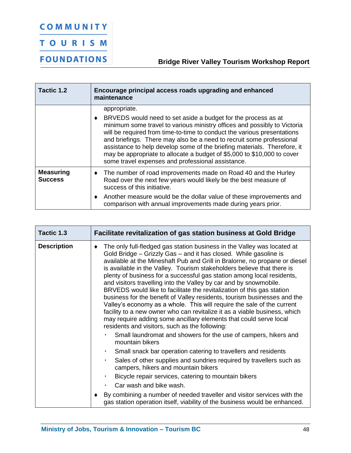**TOURISM** 

**FOUNDATIONS** 

| Tactic 1.2                         | Encourage principal access roads upgrading and enhanced<br>maintenance                                                                                                                                                                                                                                                                                                                                                                                                                                   |  |  |
|------------------------------------|----------------------------------------------------------------------------------------------------------------------------------------------------------------------------------------------------------------------------------------------------------------------------------------------------------------------------------------------------------------------------------------------------------------------------------------------------------------------------------------------------------|--|--|
|                                    | appropriate.                                                                                                                                                                                                                                                                                                                                                                                                                                                                                             |  |  |
|                                    | BRVEDS would need to set aside a budget for the process as at<br>minimum some travel to various ministry offices and possibly to Victoria<br>will be required from time-to-time to conduct the various presentations<br>and briefings. There may also be a need to recruit some professional<br>assistance to help develop some of the briefing materials. Therefore, it<br>may be appropriate to allocate a budget of \$5,000 to \$10,000 to cover<br>some travel expenses and professional assistance. |  |  |
| <b>Measuring</b><br><b>Success</b> | The number of road improvements made on Road 40 and the Hurley<br>$\bullet$<br>Road over the next few years would likely be the best measure of<br>success of this initiative.                                                                                                                                                                                                                                                                                                                           |  |  |
|                                    | Another measure would be the dollar value of these improvements and<br>comparison with annual improvements made during years prior.                                                                                                                                                                                                                                                                                                                                                                      |  |  |

| Tactic 1.3         | Facilitate revitalization of gas station business at Gold Bridge                                                                                                                                                                                                                                                                                                                                                                                                                                                                                                                                                                                                                                                                                                                                                                                                                                                                                               |
|--------------------|----------------------------------------------------------------------------------------------------------------------------------------------------------------------------------------------------------------------------------------------------------------------------------------------------------------------------------------------------------------------------------------------------------------------------------------------------------------------------------------------------------------------------------------------------------------------------------------------------------------------------------------------------------------------------------------------------------------------------------------------------------------------------------------------------------------------------------------------------------------------------------------------------------------------------------------------------------------|
| <b>Description</b> | The only full-fledged gas station business in the Valley was located at<br>٠<br>Gold Bridge – Grizzly Gas – and it has closed. While gasoline is<br>available at the Mineshaft Pub and Grill in Bralorne, no propane or diesel<br>is available in the Valley. Tourism stakeholders believe that there is<br>plenty of business for a successful gas station among local residents,<br>and visitors travelling into the Valley by car and by snowmobile.<br>BRVEDS would like to facilitate the revitalization of this gas station<br>business for the benefit of Valley residents, tourism businesses and the<br>Valley's economy as a whole. This will require the sale of the current<br>facility to a new owner who can revitalize it as a viable business, which<br>may require adding some ancillary elements that could serve local<br>residents and visitors, such as the following:<br>Small laundromat and showers for the use of campers, hikers and |
|                    | mountain bikers                                                                                                                                                                                                                                                                                                                                                                                                                                                                                                                                                                                                                                                                                                                                                                                                                                                                                                                                                |
|                    | Small snack bar operation catering to travellers and residents<br>۰.<br>Sales of other supplies and sundries required by travellers such as<br>٠<br>campers, hikers and mountain bikers                                                                                                                                                                                                                                                                                                                                                                                                                                                                                                                                                                                                                                                                                                                                                                        |
|                    | Bicycle repair services, catering to mountain bikers                                                                                                                                                                                                                                                                                                                                                                                                                                                                                                                                                                                                                                                                                                                                                                                                                                                                                                           |
|                    | Car wash and bike wash.                                                                                                                                                                                                                                                                                                                                                                                                                                                                                                                                                                                                                                                                                                                                                                                                                                                                                                                                        |
|                    | By combining a number of needed traveller and visitor services with the<br>gas station operation itself, viability of the business would be enhanced.                                                                                                                                                                                                                                                                                                                                                                                                                                                                                                                                                                                                                                                                                                                                                                                                          |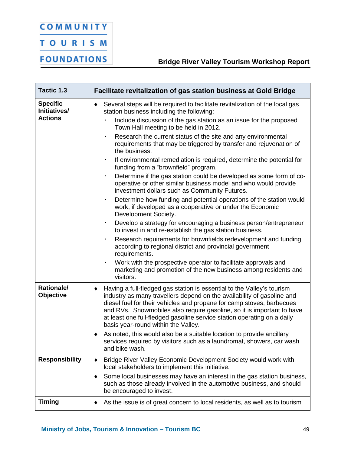**TOURISM** 

# **FOUNDATIONS**

| Tactic 1.3                                        | Facilitate revitalization of gas station business at Gold Bridge                                                                                                                                                                                                                                                                                                                                                                                                                                                                                                                                                                                                                                                                                                                                                                                                                                                                                                                                                                       |
|---------------------------------------------------|----------------------------------------------------------------------------------------------------------------------------------------------------------------------------------------------------------------------------------------------------------------------------------------------------------------------------------------------------------------------------------------------------------------------------------------------------------------------------------------------------------------------------------------------------------------------------------------------------------------------------------------------------------------------------------------------------------------------------------------------------------------------------------------------------------------------------------------------------------------------------------------------------------------------------------------------------------------------------------------------------------------------------------------|
| <b>Specific</b><br>Initiatives/<br><b>Actions</b> | Several steps will be required to facilitate revitalization of the local gas<br>٠<br>station business including the following:<br>Include discussion of the gas station as an issue for the proposed<br>Town Hall meeting to be held in 2012.<br>Research the current status of the site and any environmental<br>٠<br>requirements that may be triggered by transfer and rejuvenation of<br>the business.<br>If environmental remediation is required, determine the potential for<br>٠<br>funding from a "brownfield" program.<br>Determine if the gas station could be developed as some form of co-<br>٠<br>operative or other similar business model and who would provide<br>investment dollars such as Community Futures.<br>Determine how funding and potential operations of the station would<br>٠<br>work, if developed as a cooperative or under the Economic<br>Development Society.<br>Develop a strategy for encouraging a business person/entrepreneur<br>٠<br>to invest in and re-establish the gas station business. |
|                                                   | Research requirements for brownfields redevelopment and funding<br>according to regional district and provincial government<br>requirements.                                                                                                                                                                                                                                                                                                                                                                                                                                                                                                                                                                                                                                                                                                                                                                                                                                                                                           |
|                                                   | Work with the prospective operator to facilitate approvals and<br>٠<br>marketing and promotion of the new business among residents and<br>visitors.                                                                                                                                                                                                                                                                                                                                                                                                                                                                                                                                                                                                                                                                                                                                                                                                                                                                                    |
| <b>Rationale/</b><br><b>Objective</b>             | Having a full-fledged gas station is essential to the Valley's tourism<br>٠<br>industry as many travellers depend on the availability of gasoline and<br>diesel fuel for their vehicles and propane for camp stoves, barbecues<br>and RVs. Snowmobiles also require gasoline, so it is important to have<br>at least one full-fledged gasoline service station operating on a daily<br>basis year-round within the Valley.                                                                                                                                                                                                                                                                                                                                                                                                                                                                                                                                                                                                             |
|                                                   | As noted, this would also be a suitable location to provide ancillary<br>services required by visitors such as a laundromat, showers, car wash<br>and bike wash.                                                                                                                                                                                                                                                                                                                                                                                                                                                                                                                                                                                                                                                                                                                                                                                                                                                                       |
| <b>Responsibility</b>                             | Bridge River Valley Economic Development Society would work with<br>٠<br>local stakeholders to implement this initiative.                                                                                                                                                                                                                                                                                                                                                                                                                                                                                                                                                                                                                                                                                                                                                                                                                                                                                                              |
|                                                   | Some local businesses may have an interest in the gas station business,<br>٠<br>such as those already involved in the automotive business, and should<br>be encouraged to invest.                                                                                                                                                                                                                                                                                                                                                                                                                                                                                                                                                                                                                                                                                                                                                                                                                                                      |
| <b>Timing</b>                                     | As the issue is of great concern to local residents, as well as to tourism<br>٠                                                                                                                                                                                                                                                                                                                                                                                                                                                                                                                                                                                                                                                                                                                                                                                                                                                                                                                                                        |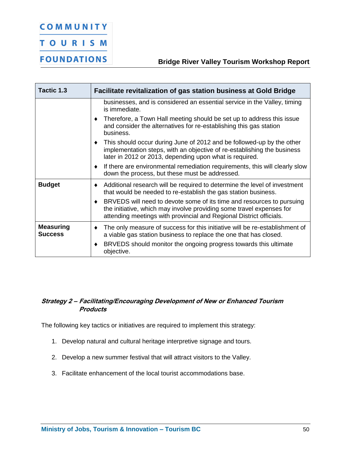**TOURISM** 

**FOUNDATIONS** 

## **Bridge River Valley Tourism Workshop Report**

| Tactic 1.3                         | Facilitate revitalization of gas station business at Gold Bridge                                                                                                                                                          |
|------------------------------------|---------------------------------------------------------------------------------------------------------------------------------------------------------------------------------------------------------------------------|
|                                    | businesses, and is considered an essential service in the Valley, timing<br>is immediate.                                                                                                                                 |
|                                    | Therefore, a Town Hall meeting should be set up to address this issue<br>and consider the alternatives for re-establishing this gas station<br>business.                                                                  |
|                                    | This should occur during June of 2012 and be followed-up by the other<br>٠<br>implementation steps, with an objective of re-establishing the business<br>later in 2012 or 2013, depending upon what is required.          |
|                                    | If there are environmental remediation requirements, this will clearly slow<br>٠<br>down the process, but these must be addressed.                                                                                        |
| <b>Budget</b>                      | Additional research will be required to determine the level of investment<br>٠<br>that would be needed to re-establish the gas station business.                                                                          |
|                                    | BRVEDS will need to devote some of its time and resources to pursuing<br>٠<br>the initiative, which may involve providing some travel expenses for<br>attending meetings with provincial and Regional District officials. |
| <b>Measuring</b><br><b>Success</b> | The only measure of success for this initiative will be re-establishment of<br>٠<br>a viable gas station business to replace the one that has closed.                                                                     |
|                                    | BRVEDS should monitor the ongoing progress towards this ultimate<br>objective.                                                                                                                                            |

#### **Strategy 2 – Facilitating/Encouraging Development of New or Enhanced Tourism Products**

The following key tactics or initiatives are required to implement this strategy:

- 1. Develop natural and cultural heritage interpretive signage and tours.
- 2. Develop a new summer festival that will attract visitors to the Valley.
- 3. Facilitate enhancement of the local tourist accommodations base.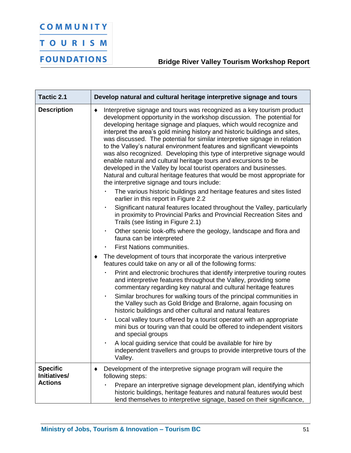**TOURISM** 

**FOUNDATIONS** 

| Tactic 2.1                                        | Develop natural and cultural heritage interpretive signage and tours                                                                                                                                                                                                                                                                                                                                                                                                                                                                                                                                                                                                                                                                                                                                                                                                                                                                                                                                                                                                                                                                                                                                                                       |
|---------------------------------------------------|--------------------------------------------------------------------------------------------------------------------------------------------------------------------------------------------------------------------------------------------------------------------------------------------------------------------------------------------------------------------------------------------------------------------------------------------------------------------------------------------------------------------------------------------------------------------------------------------------------------------------------------------------------------------------------------------------------------------------------------------------------------------------------------------------------------------------------------------------------------------------------------------------------------------------------------------------------------------------------------------------------------------------------------------------------------------------------------------------------------------------------------------------------------------------------------------------------------------------------------------|
| <b>Description</b>                                | Interpretive signage and tours was recognized as a key tourism product<br>٠<br>development opportunity in the workshop discussion. The potential for<br>developing heritage signage and plaques, which would recognize and<br>interpret the area's gold mining history and historic buildings and sites,<br>was discussed. The potential for similar interpretive signage in relation<br>to the Valley's natural environment features and significant viewpoints<br>was also recognized. Developing this type of interpretive signage would<br>enable natural and cultural heritage tours and excursions to be<br>developed in the Valley by local tourist operators and businesses.<br>Natural and cultural heritage features that would be most appropriate for<br>the interpretive signage and tours include:<br>The various historic buildings and heritage features and sites listed<br>earlier in this report in Figure 2.2                                                                                                                                                                                                                                                                                                          |
|                                                   | Significant natural features located throughout the Valley, particularly<br>٠<br>in proximity to Provincial Parks and Provincial Recreation Sites and<br>Trails (see listing in Figure 2.1)<br>Other scenic look-offs where the geology, landscape and flora and<br>٠<br>fauna can be interpreted<br>First Nations communities.<br>The development of tours that incorporate the various interpretive<br>٠<br>features could take on any or all of the following forms:<br>Print and electronic brochures that identify interpretive touring routes<br>and interpretive features throughout the Valley, providing some<br>commentary regarding key natural and cultural heritage features<br>Similar brochures for walking tours of the principal communities in<br>٠<br>the Valley such as Gold Bridge and Bralorne, again focusing on<br>historic buildings and other cultural and natural features<br>Local valley tours offered by a tourist operator with an appropriate<br>٠<br>mini bus or touring van that could be offered to independent visitors<br>and special groups<br>A local guiding service that could be available for hire by<br>٠<br>independent travellers and groups to provide interpretive tours of the<br>Valley. |
| <b>Specific</b><br>Initiatives/<br><b>Actions</b> | Development of the interpretive signage program will require the<br>٠<br>following steps:<br>Prepare an interpretive signage development plan, identifying which<br>historic buildings, heritage features and natural features would best<br>lend themselves to interpretive signage, based on their significance,                                                                                                                                                                                                                                                                                                                                                                                                                                                                                                                                                                                                                                                                                                                                                                                                                                                                                                                         |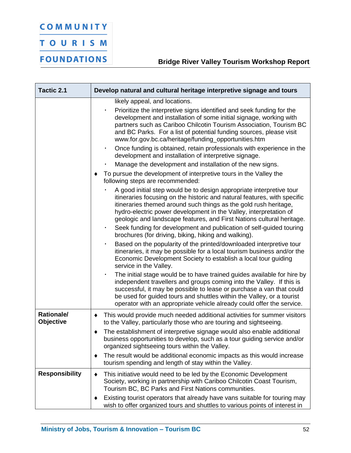**TOURISM** 

# **FOUNDATIONS**

| Tactic 2.1                     | Develop natural and cultural heritage interpretive signage and tours                                                                                                                                                                                                                                                                                                                                                                                                                                                                                                                                                                                                                                                                                                                                                                                                                                                                                                                                                                                                                                                                        |
|--------------------------------|---------------------------------------------------------------------------------------------------------------------------------------------------------------------------------------------------------------------------------------------------------------------------------------------------------------------------------------------------------------------------------------------------------------------------------------------------------------------------------------------------------------------------------------------------------------------------------------------------------------------------------------------------------------------------------------------------------------------------------------------------------------------------------------------------------------------------------------------------------------------------------------------------------------------------------------------------------------------------------------------------------------------------------------------------------------------------------------------------------------------------------------------|
|                                | likely appeal, and locations.<br>Prioritize the interpretive signs identified and seek funding for the<br>٠<br>development and installation of some initial signage, working with<br>partners such as Cariboo Chilcotin Tourism Association, Tourism BC<br>and BC Parks. For a list of potential funding sources, please visit<br>www.for.gov.bc.ca/heritage/funding_opportunities.htm<br>Once funding is obtained, retain professionals with experience in the<br>٠<br>development and installation of interpretive signage.<br>Manage the development and installation of the new signs.<br>To pursue the development of interpretive tours in the Valley the<br>following steps are recommended:                                                                                                                                                                                                                                                                                                                                                                                                                                         |
|                                | A good initial step would be to design appropriate interpretive tour<br>itineraries focusing on the historic and natural features, with specific<br>itineraries themed around such things as the gold rush heritage,<br>hydro-electric power development in the Valley, interpretation of<br>geologic and landscape features, and First Nations cultural heritage.<br>Seek funding for development and publication of self-guided touring<br>٠<br>brochures (for driving, biking, hiking and walking).<br>Based on the popularity of the printed/downloaded interpretive tour<br>٠<br>itineraries, it may be possible for a local tourism business and/or the<br>Economic Development Society to establish a local tour guiding<br>service in the Valley.<br>The initial stage would be to have trained guides available for hire by<br>٠<br>independent travellers and groups coming into the Valley. If this is<br>successful, it may be possible to lease or purchase a van that could<br>be used for guided tours and shuttles within the Valley, or a tourist<br>operator with an appropriate vehicle already could offer the service. |
| <b>Rationale/</b><br>Objective | This would provide much needed additional activities for summer visitors<br>٠<br>to the Valley, particularly those who are touring and sightseeing.<br>The establishment of interpretive signage would also enable additional<br>٠<br>business opportunities to develop, such as a tour guiding service and/or<br>organized sightseeing tours within the Valley.                                                                                                                                                                                                                                                                                                                                                                                                                                                                                                                                                                                                                                                                                                                                                                            |
|                                | The result would be additional economic impacts as this would increase<br>٠<br>tourism spending and length of stay within the Valley.                                                                                                                                                                                                                                                                                                                                                                                                                                                                                                                                                                                                                                                                                                                                                                                                                                                                                                                                                                                                       |
| <b>Responsibility</b>          | This initiative would need to be led by the Economic Development<br>٠<br>Society, working in partnership with Cariboo Chilcotin Coast Tourism,<br>Tourism BC, BC Parks and First Nations communities.<br>Existing tourist operators that already have vans suitable for touring may<br>٠                                                                                                                                                                                                                                                                                                                                                                                                                                                                                                                                                                                                                                                                                                                                                                                                                                                    |
|                                | wish to offer organized tours and shuttles to various points of interest in                                                                                                                                                                                                                                                                                                                                                                                                                                                                                                                                                                                                                                                                                                                                                                                                                                                                                                                                                                                                                                                                 |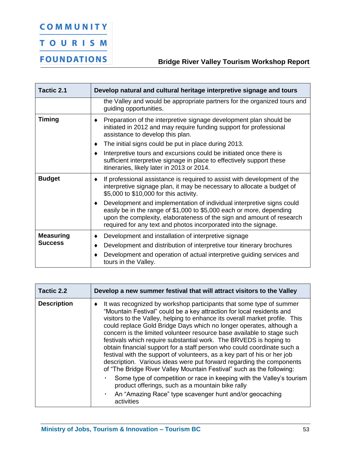**TOURISM** 

# **FOUNDATIONS**

| Tactic 2.1       | Develop natural and cultural heritage interpretive signage and tours                                                                                                                                                                                                                           |
|------------------|------------------------------------------------------------------------------------------------------------------------------------------------------------------------------------------------------------------------------------------------------------------------------------------------|
|                  | the Valley and would be appropriate partners for the organized tours and<br>guiding opportunities.                                                                                                                                                                                             |
| <b>Timing</b>    | Preparation of the interpretive signage development plan should be<br>٠<br>initiated in 2012 and may require funding support for professional<br>assistance to develop this plan.                                                                                                              |
|                  | The initial signs could be put in place during 2013.<br>٠                                                                                                                                                                                                                                      |
|                  | Interpretive tours and excursions could be initiated once there is<br>٠<br>sufficient interpretive signage in place to effectively support these<br>itineraries, likely later in 2013 or 2014.                                                                                                 |
| <b>Budget</b>    | If professional assistance is required to assist with development of the<br>٠<br>interpretive signage plan, it may be necessary to allocate a budget of<br>\$5,000 to \$10,000 for this activity.                                                                                              |
|                  | Development and implementation of individual interpretive signs could<br>٠<br>easily be in the range of \$1,000 to \$5,000 each or more, depending<br>upon the complexity, elaborateness of the sign and amount of research<br>required for any text and photos incorporated into the signage. |
| <b>Measuring</b> | Development and installation of interpretive signage                                                                                                                                                                                                                                           |
| <b>Success</b>   | Development and distribution of interpretive tour itinerary brochures                                                                                                                                                                                                                          |
|                  | Development and operation of actual interpretive guiding services and<br>٠<br>tours in the Valley.                                                                                                                                                                                             |

| Tactic 2.2         | Develop a new summer festival that will attract visitors to the Valley                                                                                                                                                                                                                                                                                                                                                                                                                                                                                                                                                                                                                                                                                                                                                                                                                                                                                                            |
|--------------------|-----------------------------------------------------------------------------------------------------------------------------------------------------------------------------------------------------------------------------------------------------------------------------------------------------------------------------------------------------------------------------------------------------------------------------------------------------------------------------------------------------------------------------------------------------------------------------------------------------------------------------------------------------------------------------------------------------------------------------------------------------------------------------------------------------------------------------------------------------------------------------------------------------------------------------------------------------------------------------------|
| <b>Description</b> | It was recognized by workshop participants that some type of summer<br>"Mountain Festival" could be a key attraction for local residents and<br>visitors to the Valley, helping to enhance its overall market profile. This<br>could replace Gold Bridge Days which no longer operates, although a<br>concern is the limited volunteer resource base available to stage such<br>festivals which require substantial work. The BRVEDS is hoping to<br>obtain financial support for a staff person who could coordinate such a<br>festival with the support of volunteers, as a key part of his or her job<br>description. Various ideas were put forward regarding the components<br>of "The Bridge River Valley Mountain Festival" such as the following:<br>Some type of competition or race in keeping with the Valley's tourism<br>product offerings, such as a mountain bike rally<br>An "Amazing Race" type scavenger hunt and/or geocaching<br>$\blacksquare$<br>activities |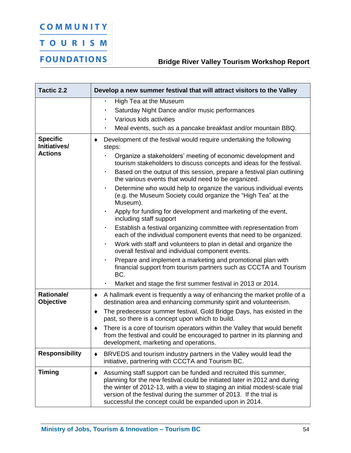**TOURISM** 

# **FOUNDATIONS**

| <b>Tactic 2.2</b>                                 | Develop a new summer festival that will attract visitors to the Valley                                                                                                                                                                                                                                                                                                                                                                                                                                                                                                                                                                                                                                                                                                                                                                                                                                                                                                                                                                                                                                              |
|---------------------------------------------------|---------------------------------------------------------------------------------------------------------------------------------------------------------------------------------------------------------------------------------------------------------------------------------------------------------------------------------------------------------------------------------------------------------------------------------------------------------------------------------------------------------------------------------------------------------------------------------------------------------------------------------------------------------------------------------------------------------------------------------------------------------------------------------------------------------------------------------------------------------------------------------------------------------------------------------------------------------------------------------------------------------------------------------------------------------------------------------------------------------------------|
|                                                   | High Tea at the Museum<br>Saturday Night Dance and/or music performances<br>٠<br>Various kids activities<br>Meal events, such as a pancake breakfast and/or mountain BBQ.<br>٠                                                                                                                                                                                                                                                                                                                                                                                                                                                                                                                                                                                                                                                                                                                                                                                                                                                                                                                                      |
| <b>Specific</b><br>Initiatives/<br><b>Actions</b> | Development of the festival would require undertaking the following<br>٠<br>steps:<br>Organize a stakeholders' meeting of economic development and<br>tourism stakeholders to discuss concepts and ideas for the festival.<br>Based on the output of this session, prepare a festival plan outlining<br>٠<br>the various events that would need to be organized.<br>Determine who would help to organize the various individual events<br>٠<br>(e.g. the Museum Society could organize the "High Tea" at the<br>Museum).<br>Apply for funding for development and marketing of the event,<br>٠<br>including staff support<br>Establish a festival organizing committee with representation from<br>٠<br>each of the individual component events that need to be organized.<br>Work with staff and volunteers to plan in detail and organize the<br>٠<br>overall festival and individual component events.<br>Prepare and implement a marketing and promotional plan with<br>financial support from tourism partners such as CCCTA and Tourism<br>BC.<br>Market and stage the first summer festival in 2013 or 2014. |
| <b>Rationale/</b><br>Objective                    | A hallmark event is frequently a way of enhancing the market profile of a<br>٠<br>destination area and enhancing community spirit and volunteerism.<br>The predecessor summer festival, Gold Bridge Days, has existed in the<br>٠<br>past, so there is a concept upon which to build.<br>There is a core of tourism operators within the Valley that would benefit<br>٠<br>from the festival and could be encouraged to partner in its planning and<br>development, marketing and operations.                                                                                                                                                                                                                                                                                                                                                                                                                                                                                                                                                                                                                       |
| <b>Responsibility</b>                             | BRVEDS and tourism industry partners in the Valley would lead the<br>$\blacklozenge$<br>initiative, partnering with CCCTA and Tourism BC.                                                                                                                                                                                                                                                                                                                                                                                                                                                                                                                                                                                                                                                                                                                                                                                                                                                                                                                                                                           |
| <b>Timing</b>                                     | Assuming staff support can be funded and recruited this summer,<br>٠<br>planning for the new festival could be initiated later in 2012 and during<br>the winter of 2012-13, with a view to staging an initial modest-scale trial<br>version of the festival during the summer of 2013. If the trial is<br>successful the concept could be expanded upon in 2014.                                                                                                                                                                                                                                                                                                                                                                                                                                                                                                                                                                                                                                                                                                                                                    |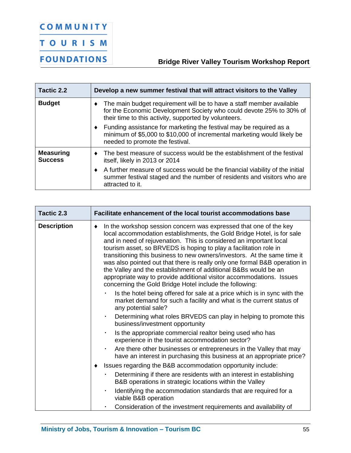**TOURISM** 

# **FOUNDATIONS**

| Tactic 2.2                         | Develop a new summer festival that will attract visitors to the Valley                                                                                                                               |
|------------------------------------|------------------------------------------------------------------------------------------------------------------------------------------------------------------------------------------------------|
| <b>Budget</b>                      | The main budget requirement will be to have a staff member available<br>for the Economic Development Society who could devote 25% to 30% of<br>their time to this activity, supported by volunteers. |
|                                    | Funding assistance for marketing the festival may be required as a<br>minimum of \$5,000 to \$10,000 of incremental marketing would likely be<br>needed to promote the festival.                     |
| <b>Measuring</b><br><b>Success</b> | The best measure of success would be the establishment of the festival<br>$\bullet$<br>itself, likely in 2013 or 2014                                                                                |
|                                    | A further measure of success would be the financial viability of the initial<br>summer festival staged and the number of residents and visitors who are<br>attracted to it.                          |

| <b>Tactic 2.3</b>  | Facilitate enhancement of the local tourist accommodations base                                                                                                                                                                                                                                                                                                                                                                                                                                                                                                                                                                                             |
|--------------------|-------------------------------------------------------------------------------------------------------------------------------------------------------------------------------------------------------------------------------------------------------------------------------------------------------------------------------------------------------------------------------------------------------------------------------------------------------------------------------------------------------------------------------------------------------------------------------------------------------------------------------------------------------------|
| <b>Description</b> | In the workshop session concern was expressed that one of the key<br>٠<br>local accommodation establishments, the Gold Bridge Hotel, is for sale<br>and in need of rejuvenation. This is considered an important local<br>tourism asset, so BRVEDS is hoping to play a facilitation role in<br>transitioning this business to new owners/investors. At the same time it<br>was also pointed out that there is really only one formal B&B operation in<br>the Valley and the establishment of additional B&Bs would be an<br>appropriate way to provide additional visitor accommodations. Issues<br>concerning the Gold Bridge Hotel include the following: |
|                    | Is the hotel being offered for sale at a price which is in sync with the<br>market demand for such a facility and what is the current status of<br>any potential sale?                                                                                                                                                                                                                                                                                                                                                                                                                                                                                      |
|                    | Determining what roles BRVEDS can play in helping to promote this<br>$\blacksquare$<br>business/investment opportunity                                                                                                                                                                                                                                                                                                                                                                                                                                                                                                                                      |
|                    | Is the appropriate commercial realtor being used who has<br>$\blacksquare$<br>experience in the tourist accommodation sector?                                                                                                                                                                                                                                                                                                                                                                                                                                                                                                                               |
|                    | Are there other businesses or entrepreneurs in the Valley that may<br>have an interest in purchasing this business at an appropriate price?                                                                                                                                                                                                                                                                                                                                                                                                                                                                                                                 |
|                    | Issues regarding the B&B accommodation opportunity include:                                                                                                                                                                                                                                                                                                                                                                                                                                                                                                                                                                                                 |
|                    | Determining if there are residents with an interest in establishing<br>B&B operations in strategic locations within the Valley                                                                                                                                                                                                                                                                                                                                                                                                                                                                                                                              |
|                    | Identifying the accommodation standards that are required for a<br>viable B&B operation                                                                                                                                                                                                                                                                                                                                                                                                                                                                                                                                                                     |
|                    | Consideration of the investment requirements and availability of                                                                                                                                                                                                                                                                                                                                                                                                                                                                                                                                                                                            |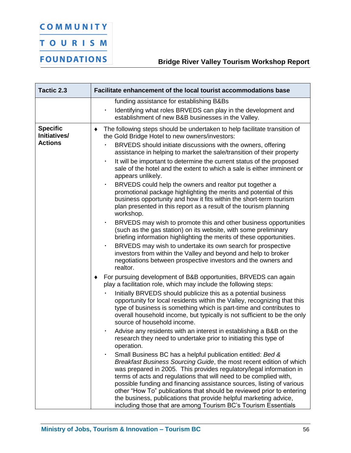**TOURISM** 

# **FOUNDATIONS**

| Tactic 2.3                                        | Facilitate enhancement of the local tourist accommodations base                                                                                                                                                                                                                                                                                                                                                                                                                                                                                                                                                                                                                                                                                                                                                                                                                                                                                                                                                                                                                                                                                                                                                                                                                                                                                                                                                                                                                                                                                                                                                                                                                                                                                                                                                                                                                                                                                                                                                                                                                                                                                                                                                                                                                                                                                                                                          |
|---------------------------------------------------|----------------------------------------------------------------------------------------------------------------------------------------------------------------------------------------------------------------------------------------------------------------------------------------------------------------------------------------------------------------------------------------------------------------------------------------------------------------------------------------------------------------------------------------------------------------------------------------------------------------------------------------------------------------------------------------------------------------------------------------------------------------------------------------------------------------------------------------------------------------------------------------------------------------------------------------------------------------------------------------------------------------------------------------------------------------------------------------------------------------------------------------------------------------------------------------------------------------------------------------------------------------------------------------------------------------------------------------------------------------------------------------------------------------------------------------------------------------------------------------------------------------------------------------------------------------------------------------------------------------------------------------------------------------------------------------------------------------------------------------------------------------------------------------------------------------------------------------------------------------------------------------------------------------------------------------------------------------------------------------------------------------------------------------------------------------------------------------------------------------------------------------------------------------------------------------------------------------------------------------------------------------------------------------------------------------------------------------------------------------------------------------------------------|
|                                                   | funding assistance for establishing B&Bs<br>Identifying what roles BRVEDS can play in the development and<br>establishment of new B&B businesses in the Valley.                                                                                                                                                                                                                                                                                                                                                                                                                                                                                                                                                                                                                                                                                                                                                                                                                                                                                                                                                                                                                                                                                                                                                                                                                                                                                                                                                                                                                                                                                                                                                                                                                                                                                                                                                                                                                                                                                                                                                                                                                                                                                                                                                                                                                                          |
| <b>Specific</b><br>Initiatives/<br><b>Actions</b> | The following steps should be undertaken to help facilitate transition of<br>٠<br>the Gold Bridge Hotel to new owners/investors:<br>BRVEDS should initiate discussions with the owners, offering<br>assistance in helping to market the sale/transition of their property<br>It will be important to determine the current status of the proposed<br>٠<br>sale of the hotel and the extent to which a sale is either imminent or<br>appears unlikely.<br>BRVEDS could help the owners and realtor put together a<br>٠<br>promotional package highlighting the merits and potential of this<br>business opportunity and how it fits within the short-term tourism<br>plan presented in this report as a result of the tourism planning<br>workshop.<br>BRVEDS may wish to promote this and other business opportunities<br>٠<br>(such as the gas station) on its website, with some preliminary<br>briefing information highlighting the merits of these opportunities.<br>BRVEDS may wish to undertake its own search for prospective<br>٠<br>investors from within the Valley and beyond and help to broker<br>negotiations between prospective investors and the owners and<br>realtor.<br>For pursuing development of B&B opportunities, BRVEDS can again<br>play a facilitation role, which may include the following steps:<br>Initially BRVEDS should publicize this as a potential business<br>opportunity for local residents within the Valley, recognizing that this<br>type of business is something which is part-time and contributes to<br>overall household income, but typically is not sufficient to be the only<br>source of household income.<br>Advise any residents with an interest in establishing a B&B on the<br>٠<br>research they need to undertake prior to initiating this type of<br>operation.<br>Small Business BC has a helpful publication entitled: Bed &<br>Breakfast Business Sourcing Guide, the most recent edition of which<br>was prepared in 2005. This provides regulatory/legal information in<br>terms of acts and regulations that will need to be complied with,<br>possible funding and financing assistance sources, listing of various<br>other "How To" publications that should be reviewed prior to entering<br>the business, publications that provide helpful marketing advice,<br>including those that are among Tourism BC's Tourism Essentials |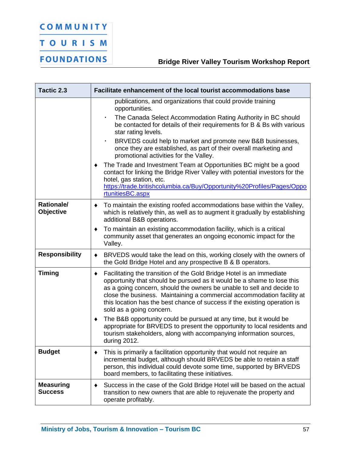**TOURISM** 

# **FOUNDATIONS**

| <b>Tactic 2.3</b>                     | Facilitate enhancement of the local tourist accommodations base                                                                                                                                                                                                                                                                                                                                                                                                                                                                                                                                                                                                                                                        |
|---------------------------------------|------------------------------------------------------------------------------------------------------------------------------------------------------------------------------------------------------------------------------------------------------------------------------------------------------------------------------------------------------------------------------------------------------------------------------------------------------------------------------------------------------------------------------------------------------------------------------------------------------------------------------------------------------------------------------------------------------------------------|
|                                       | publications, and organizations that could provide training<br>opportunities.<br>The Canada Select Accommodation Rating Authority in BC should<br>٠<br>be contacted for details of their requirements for B & Bs with various<br>star rating levels.<br>BRVEDS could help to market and promote new B&B businesses,<br>٠<br>once they are established, as part of their overall marketing and<br>promotional activities for the Valley.<br>The Trade and Investment Team at Opportunities BC might be a good<br>contact for linking the Bridge River Valley with potential investors for the<br>hotel, gas station, etc.<br>https://trade.britishcolumbia.ca/Buy/Opportunity%20Profiles/Pages/Oppo<br>rtunitiesBC.aspx |
| <b>Rationale/</b><br><b>Objective</b> | To maintain the existing roofed accommodations base within the Valley,<br>٠<br>which is relatively thin, as well as to augment it gradually by establishing<br>additional B&B operations.<br>To maintain an existing accommodation facility, which is a critical<br>٠<br>community asset that generates an ongoing economic impact for the<br>Valley.                                                                                                                                                                                                                                                                                                                                                                  |
| <b>Responsibility</b>                 | BRVEDS would take the lead on this, working closely with the owners of<br>$\blacklozenge$<br>the Gold Bridge Hotel and any prospective B & B operators.                                                                                                                                                                                                                                                                                                                                                                                                                                                                                                                                                                |
| <b>Timing</b>                         | Facilitating the transition of the Gold Bridge Hotel is an immediate<br>٠<br>opportunity that should be pursued as it would be a shame to lose this<br>as a going concern, should the owners be unable to sell and decide to<br>close the business. Maintaining a commercial accommodation facility at<br>this location has the best chance of success if the existing operation is<br>sold as a going concern.<br>The B&B opportunity could be pursued at any time, but it would be<br>٠                                                                                                                                                                                                                              |
|                                       | appropriate for BRVEDS to present the opportunity to local residents and<br>tourism stakeholders, along with accompanying information sources,<br>during 2012.                                                                                                                                                                                                                                                                                                                                                                                                                                                                                                                                                         |
| <b>Budget</b>                         | This is primarily a facilitation opportunity that would not require an<br>٠<br>incremental budget, although should BRVEDS be able to retain a staff<br>person, this individual could devote some time, supported by BRVEDS<br>board members, to facilitating these initiatives.                                                                                                                                                                                                                                                                                                                                                                                                                                        |
| <b>Measuring</b><br><b>Success</b>    | Success in the case of the Gold Bridge Hotel will be based on the actual<br>٠<br>transition to new owners that are able to rejuvenate the property and<br>operate profitably.                                                                                                                                                                                                                                                                                                                                                                                                                                                                                                                                          |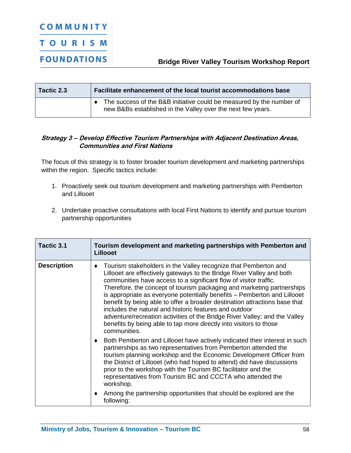**TOURISM** 

## **FOUNDATIONS**

## **Bridge River Valley Tourism Workshop Report**

| Tactic 2.3 | Facilitate enhancement of the local tourist accommodations base                                                                     |
|------------|-------------------------------------------------------------------------------------------------------------------------------------|
|            | The success of the B&B initiative could be measured by the number of<br>new B&Bs established in the Valley over the next few years. |

#### **Strategy 3 – Develop Effective Tourism Partnerships with Adjacent Destination Areas, Communities and First Nations**

The focus of this strategy is to foster broader tourism development and marketing partnerships within the region. Specific tactics include:

- 1. Proactively seek out tourism development and marketing partnerships with Pemberton and Lillooet
- 2. Undertake proactive consultations with local First Nations to identify and pursue tourism partnership opportunities

| Tactic 3.1         | Tourism development and marketing partnerships with Pemberton and<br><b>Lillooet</b>                                                                                                                                                                                                                                                                                                                                                                                                                                                                                                                                                                                                 |
|--------------------|--------------------------------------------------------------------------------------------------------------------------------------------------------------------------------------------------------------------------------------------------------------------------------------------------------------------------------------------------------------------------------------------------------------------------------------------------------------------------------------------------------------------------------------------------------------------------------------------------------------------------------------------------------------------------------------|
| <b>Description</b> | Tourism stakeholders in the Valley recognize that Pemberton and<br>٠<br>Lillooet are effectively gateways to the Bridge River Valley and both<br>communities have access to a significant flow of visitor traffic.<br>Therefore, the concept of tourism packaging and marketing partnerships<br>is appropriate as everyone potentially benefits - Pemberton and Lillooet<br>benefit by being able to offer a broader destination attractions base that<br>includes the natural and historic features and outdoor<br>adventure/recreation activities of the Bridge River Valley; and the Valley<br>benefits by being able to tap more directly into visitors to those<br>communities. |
|                    | Both Pemberton and Lillooet have actively indicated their interest in such<br>partnerships as two representatives from Pemberton attended the<br>tourism planning workshop and the Economic Development Officer from<br>the District of Lillooet (who had hoped to attend) did have discussions<br>prior to the workshop with the Tourism BC facilitator and the<br>representatives from Tourism BC and CCCTA who attended the<br>workshop.<br>Among the partnership opportunities that should be explored are the<br>following:                                                                                                                                                     |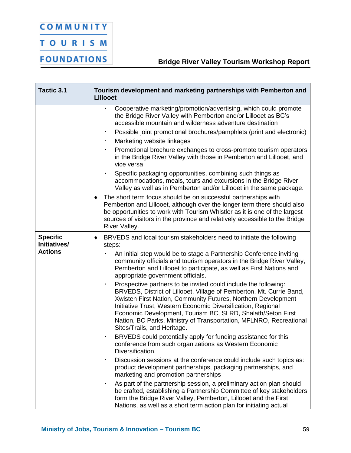**TOURISM** 

**FOUNDATIONS** 

| Tactic 3.1                                        | Tourism development and marketing partnerships with Pemberton and<br><b>Lillooet</b>                                                                                                                                                                                                                                                                                                                                                                                                                                                                                                                                                                                                                                                                                                                                                                                                                                                                                                                                                                                                                                                                                                                                                                                                                                                                                                                                               |
|---------------------------------------------------|------------------------------------------------------------------------------------------------------------------------------------------------------------------------------------------------------------------------------------------------------------------------------------------------------------------------------------------------------------------------------------------------------------------------------------------------------------------------------------------------------------------------------------------------------------------------------------------------------------------------------------------------------------------------------------------------------------------------------------------------------------------------------------------------------------------------------------------------------------------------------------------------------------------------------------------------------------------------------------------------------------------------------------------------------------------------------------------------------------------------------------------------------------------------------------------------------------------------------------------------------------------------------------------------------------------------------------------------------------------------------------------------------------------------------------|
|                                                   | Cooperative marketing/promotion/advertising, which could promote<br>the Bridge River Valley with Pemberton and/or Lillooet as BC's<br>accessible mountain and wilderness adventure destination<br>Possible joint promotional brochures/pamphlets (print and electronic)<br>٠<br>Marketing website linkages<br>$\blacksquare$<br>Promotional brochure exchanges to cross-promote tourism operators<br>٠<br>in the Bridge River Valley with those in Pemberton and Lillooet, and<br>vice versa<br>Specific packaging opportunities, combining such things as<br>٠<br>accommodations, meals, tours and excursions in the Bridge River<br>Valley as well as in Pemberton and/or Lillooet in the same package.<br>The short term focus should be on successful partnerships with<br>٠<br>Pemberton and Lillooet, although over the longer term there should also<br>be opportunities to work with Tourism Whistler as it is one of the largest<br>sources of visitors in the province and relatively accessible to the Bridge<br>River Valley.                                                                                                                                                                                                                                                                                                                                                                                          |
| <b>Specific</b><br>Initiatives/<br><b>Actions</b> | BRVEDS and local tourism stakeholders need to initiate the following<br>٠<br>steps:<br>An initial step would be to stage a Partnership Conference inviting<br>community officials and tourism operators in the Bridge River Valley,<br>Pemberton and Lillooet to participate, as well as First Nations and<br>appropriate government officials.<br>Prospective partners to be invited could include the following:<br>٠<br>BRVEDS, District of Lillooet, Village of Pemberton, Mt. Currie Band,<br>Xwisten First Nation, Community Futures, Northern Development<br>Initiative Trust, Western Economic Diversification, Regional<br>Economic Development, Tourism BC, SLRD, Shalath/Seton First<br>Nation, BC Parks, Ministry of Transportation, MFLNRO, Recreational<br>Sites/Trails, and Heritage.<br>BRVEDS could potentially apply for funding assistance for this<br>٠<br>conference from such organizations as Western Economic<br>Diversification.<br>Discussion sessions at the conference could include such topics as:<br>product development partnerships, packaging partnerships, and<br>marketing and promotion partnerships<br>As part of the partnership session, a preliminary action plan should<br>be crafted, establishing a Partnership Committee of key stakeholders<br>form the Bridge River Valley, Pemberton, Lillooet and the First<br>Nations, as well as a short term action plan for initiating actual |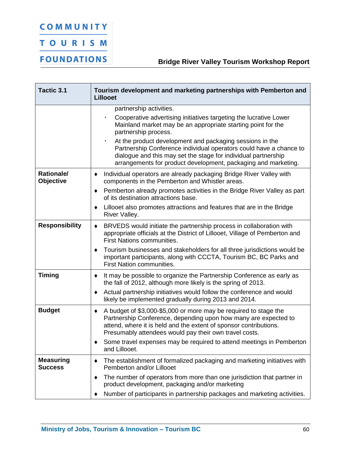## **TOURISM**

# **FOUNDATIONS**

| Tactic 3.1                            | Tourism development and marketing partnerships with Pemberton and<br><b>Lillooet</b>                                                                                                                                                                                    |
|---------------------------------------|-------------------------------------------------------------------------------------------------------------------------------------------------------------------------------------------------------------------------------------------------------------------------|
|                                       | partnership activities.                                                                                                                                                                                                                                                 |
|                                       | Cooperative advertising initiatives targeting the lucrative Lower<br>Mainland market may be an appropriate starting point for the<br>partnership process.                                                                                                               |
|                                       | At the product development and packaging sessions in the<br>٠<br>Partnership Conference individual operators could have a chance to<br>dialogue and this may set the stage for individual partnership<br>arrangements for product development, packaging and marketing. |
| <b>Rationale/</b><br><b>Objective</b> | Individual operators are already packaging Bridge River Valley with<br>٠<br>components in the Pemberton and Whistler areas.                                                                                                                                             |
|                                       | Pemberton already promotes activities in the Bridge River Valley as part<br>٠<br>of its destination attractions base.                                                                                                                                                   |
|                                       | Lillooet also promotes attractions and features that are in the Bridge<br>٠<br>River Valley.                                                                                                                                                                            |
| <b>Responsibility</b>                 | BRVEDS would initiate the partnership process in collaboration with<br>٠<br>appropriate officials at the District of Lillooet, Village of Pemberton and<br><b>First Nations communities.</b>                                                                            |
|                                       | Tourism businesses and stakeholders for all three jurisdictions would be<br>٠<br>important participants, along with CCCTA, Tourism BC, BC Parks and<br><b>First Nation communities.</b>                                                                                 |
| <b>Timing</b>                         | It may be possible to organize the Partnership Conference as early as<br>٠<br>the fall of 2012, although more likely is the spring of 2013.                                                                                                                             |
|                                       | Actual partnership initiatives would follow the conference and would<br>٠<br>likely be implemented gradually during 2013 and 2014.                                                                                                                                      |
| <b>Budget</b>                         | A budget of \$3,000-\$5,000 or more may be required to stage the<br>٠<br>Partnership Conference, depending upon how many are expected to<br>attend, where it is held and the extent of sponsor contributions.<br>Presumably attendees would pay their own travel costs. |
|                                       | Some travel expenses may be required to attend meetings in Pemberton<br>and Lillooet.                                                                                                                                                                                   |
| <b>Measuring</b><br><b>Success</b>    | The establishment of formalized packaging and marketing initiatives with<br>٠<br>Pemberton and/or Lillooet                                                                                                                                                              |
|                                       | The number of operators from more than one jurisdiction that partner in<br>٠<br>product development, packaging and/or marketing                                                                                                                                         |
|                                       | Number of participants in partnership packages and marketing activities.                                                                                                                                                                                                |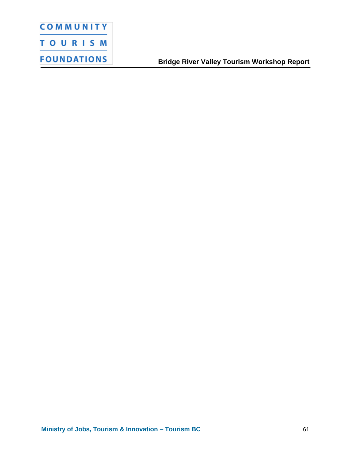COMMUNITY **TOURISM FOUNDATIONS**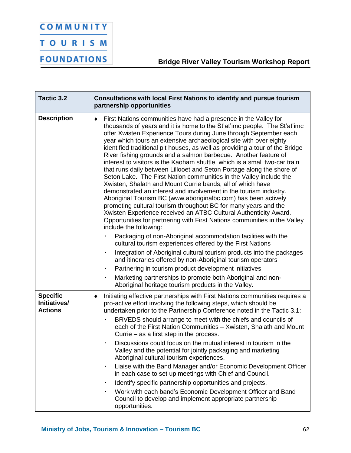**TOURISM** 

**FOUNDATIONS** 

| Tactic 3.2                                        | <b>Consultations with local First Nations to identify and pursue tourism</b><br>partnership opportunities                                                                                                                                                                                                                                                                                                                                                                                                                                                                                                                                                                                                                                                                                                                                                                                                                                                                                                                                                                                                                                                                                                                                                                                                                                                                                                                                                          |
|---------------------------------------------------|--------------------------------------------------------------------------------------------------------------------------------------------------------------------------------------------------------------------------------------------------------------------------------------------------------------------------------------------------------------------------------------------------------------------------------------------------------------------------------------------------------------------------------------------------------------------------------------------------------------------------------------------------------------------------------------------------------------------------------------------------------------------------------------------------------------------------------------------------------------------------------------------------------------------------------------------------------------------------------------------------------------------------------------------------------------------------------------------------------------------------------------------------------------------------------------------------------------------------------------------------------------------------------------------------------------------------------------------------------------------------------------------------------------------------------------------------------------------|
| <b>Description</b>                                | First Nations communities have had a presence in the Valley for<br>٠<br>thousands of years and it is home to the St'at'imc people. The St'at'imc<br>offer Xwisten Experience Tours during June through September each<br>year which tours an extensive archaeological site with over eighty<br>identified traditional pit houses, as well as providing a tour of the Bridge<br>River fishing grounds and a salmon barbecue. Another feature of<br>interest to visitors is the Kaoham shuttle, which is a small two-car train<br>that runs daily between Lillooet and Seton Portage along the shore of<br>Seton Lake. The First Nation communities in the Valley include the<br>Xwisten, Shalath and Mount Currie bands, all of which have<br>demonstrated an interest and involvement in the tourism industry.<br>Aboriginal Tourism BC (www.aboriginalbc.com) has been actively<br>promoting cultural tourism throughout BC for many years and the<br>Xwisten Experience received an ATBC Cultural Authenticity Award.<br>Opportunities for partnering with First Nations communities in the Valley<br>include the following:<br>Packaging of non-Aboriginal accommodation facilities with the<br>cultural tourism experiences offered by the First Nations<br>Integration of Aboriginal cultural tourism products into the packages<br>and itineraries offered by non-Aboriginal tourism operators<br>Partnering in tourism product development initiatives<br>٠ |
|                                                   | Marketing partnerships to promote both Aboriginal and non-<br>$\blacksquare$<br>Aboriginal heritage tourism products in the Valley.                                                                                                                                                                                                                                                                                                                                                                                                                                                                                                                                                                                                                                                                                                                                                                                                                                                                                                                                                                                                                                                                                                                                                                                                                                                                                                                                |
| <b>Specific</b><br>Initiatives/<br><b>Actions</b> | Initiating effective partnerships with First Nations communities requires a<br>٠<br>pro-active effort involving the following steps, which should be<br>undertaken prior to the Partnership Conference noted in the Tactic 3.1:<br>BRVEDS should arrange to meet with the chiefs and councils of<br>each of the First Nation Communities - Xwisten, Shalath and Mount<br>Currie $-$ as a first step in the process.<br>Discussions could focus on the mutual interest in tourism in the<br>٠<br>Valley and the potential for jointly packaging and marketing<br>Aboriginal cultural tourism experiences.<br>Liaise with the Band Manager and/or Economic Development Officer<br>٠<br>in each case to set up meetings with Chief and Council.<br>Identify specific partnership opportunities and projects.<br>٠<br>Work with each band's Economic Development Officer and Band<br>٠<br>Council to develop and implement appropriate partnership<br>opportunities.                                                                                                                                                                                                                                                                                                                                                                                                                                                                                                   |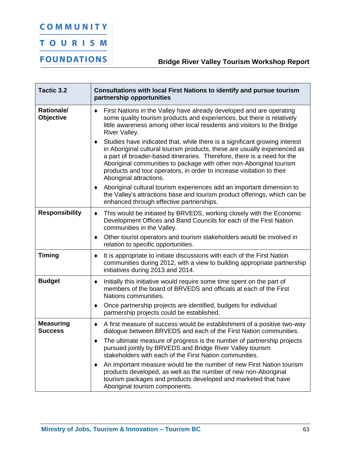**TOURISM** 

**FOUNDATIONS** 

| Tactic 3.2                            | <b>Consultations with local First Nations to identify and pursue tourism</b><br>partnership opportunities                                                                                                                                                                                                                                                                                                          |
|---------------------------------------|--------------------------------------------------------------------------------------------------------------------------------------------------------------------------------------------------------------------------------------------------------------------------------------------------------------------------------------------------------------------------------------------------------------------|
| <b>Rationale/</b><br><b>Objective</b> | First Nations in the Valley have already developed and are operating<br>٠<br>some quality tourism products and experiences, but there is relatively<br>little awareness among other local residents and visitors to the Bridge<br>River Valley.                                                                                                                                                                    |
|                                       | Studies have indicated that, while there is a significant growing interest<br>٠<br>in Aboriginal cultural tourism products, these are usually experienced as<br>a part of broader-based itineraries. Therefore, there is a need for the<br>Aboriginal communities to package with other non-Aboriginal tourism<br>products and tour operators, in order to increase visitation to their<br>Aboriginal attractions. |
|                                       | Aboriginal cultural tourism experiences add an important dimension to<br>٠<br>the Valley's attractions base and tourism product offerings, which can be<br>enhanced through effective partnerships.                                                                                                                                                                                                                |
| <b>Responsibility</b>                 | This would be initiated by BRVEDS, working closely with the Economic<br>$\bullet$<br>Development Offices and Band Councils for each of the First Nation<br>communities in the Valley.                                                                                                                                                                                                                              |
|                                       | Other tourist operators and tourism stakeholders would be involved in<br>٠<br>relation to specific opportunities.                                                                                                                                                                                                                                                                                                  |
| <b>Timing</b>                         | It is appropriate to initiate discussions with each of the First Nation<br>٠<br>communities during 2012, with a view to building appropriate partnership<br>initiatives during 2013 and 2014.                                                                                                                                                                                                                      |
| <b>Budget</b>                         | Initially this initiative would require some time spent on the part of<br>$\bullet$<br>members of the board of BRVEDS and officials at each of the First<br>Nations communities.                                                                                                                                                                                                                                   |
|                                       | Once partnership projects are identified, budgets for individual<br>٠<br>partnership projects could be established.                                                                                                                                                                                                                                                                                                |
| <b>Measuring</b><br><b>Success</b>    | A first measure of success would be establishment of a positive two-way<br>٠<br>dialogue between BRVEDS and each of the First Nation communities.                                                                                                                                                                                                                                                                  |
|                                       | The ultimate measure of progress is the number of partnership projects<br>pursued jointly by BRVEDS and Bridge River Valley tourism<br>stakeholders with each of the First Nation communities.                                                                                                                                                                                                                     |
|                                       | An important measure would be the number of new First Nation tourism<br>٠<br>products developed, as well as the number of new non-Aboriginal<br>tourism packages and products developed and marketed that have<br>Aboriginal tourism components.                                                                                                                                                                   |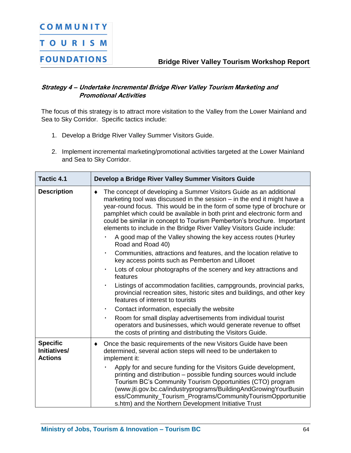**TOURISM** 

## **FOUNDATIONS**

## **Bridge River Valley Tourism Workshop Report**

### **Strategy 4 – Undertake Incremental Bridge River Valley Tourism Marketing and Promotional Activities**

The focus of this strategy is to attract more visitation to the Valley from the Lower Mainland and Sea to Sky Corridor. Specific tactics include:

- 1. Develop a Bridge River Valley Summer Visitors Guide.
- 2. Implement incremental marketing/promotional activities targeted at the Lower Mainland and Sea to Sky Corridor.

| Tactic 4.1                                        | Develop a Bridge River Valley Summer Visitors Guide                                                                                                                                                                                                                                                                                                                                                                                                                                                                                     |
|---------------------------------------------------|-----------------------------------------------------------------------------------------------------------------------------------------------------------------------------------------------------------------------------------------------------------------------------------------------------------------------------------------------------------------------------------------------------------------------------------------------------------------------------------------------------------------------------------------|
| <b>Description</b>                                | The concept of developing a Summer Visitors Guide as an additional<br>$\bullet$<br>marketing tool was discussed in the session – in the end it might have a<br>year-round focus. This would be in the form of some type of brochure or<br>pamphlet which could be available in both print and electronic form and<br>could be similar in concept to Tourism Pemberton's brochure. Important<br>elements to include in the Bridge River Valley Visitors Guide include:<br>A good map of the Valley showing the key access routes (Hurley |
|                                                   | Road and Road 40)                                                                                                                                                                                                                                                                                                                                                                                                                                                                                                                       |
|                                                   | Communities, attractions and features, and the location relative to<br>٠<br>key access points such as Pemberton and Lillooet                                                                                                                                                                                                                                                                                                                                                                                                            |
|                                                   | Lots of colour photographs of the scenery and key attractions and<br>features                                                                                                                                                                                                                                                                                                                                                                                                                                                           |
|                                                   | Listings of accommodation facilities, campgrounds, provincial parks,<br>provincial recreation sites, historic sites and buildings, and other key<br>features of interest to tourists                                                                                                                                                                                                                                                                                                                                                    |
|                                                   | Contact information, especially the website<br>٠                                                                                                                                                                                                                                                                                                                                                                                                                                                                                        |
|                                                   | Room for small display advertisements from individual tourist<br>٠<br>operators and businesses, which would generate revenue to offset<br>the costs of printing and distributing the Visitors Guide.                                                                                                                                                                                                                                                                                                                                    |
| <b>Specific</b><br>Initiatives/<br><b>Actions</b> | Once the basic requirements of the new Visitors Guide have been<br>٠<br>determined, several action steps will need to be undertaken to<br>implement it:                                                                                                                                                                                                                                                                                                                                                                                 |
|                                                   | Apply for and secure funding for the Visitors Guide development,<br>printing and distribution - possible funding sources would include<br>Tourism BC's Community Tourism Opportunities (CTO) program<br>(www.jti.gov.bc.ca/industryprograms/BuildingAndGrowingYourBusin<br>ess/Community_Tourism_Programs/CommunityTourismOpportunitie<br>s.htm) and the Northern Development Initiative Trust                                                                                                                                          |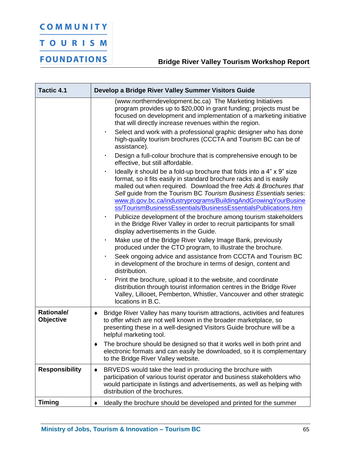**TOURISM** 

## **FOUNDATIONS**

| Tactic 4.1                            | Develop a Bridge River Valley Summer Visitors Guide                                                                                                                                                                                                                                                                                                                                                                               |
|---------------------------------------|-----------------------------------------------------------------------------------------------------------------------------------------------------------------------------------------------------------------------------------------------------------------------------------------------------------------------------------------------------------------------------------------------------------------------------------|
|                                       | (www.northerndevelopment.bc.ca) The Marketing Initiatives<br>program provides up to \$20,000 in grant funding; projects must be<br>focused on development and implementation of a marketing initiative<br>that will directly increase revenues within the region.<br>Select and work with a professional graphic designer who has done<br>٠<br>high-quality tourism brochures (CCCTA and Tourism BC can be of<br>assistance).     |
|                                       | Design a full-colour brochure that is comprehensive enough to be<br>effective, but still affordable.                                                                                                                                                                                                                                                                                                                              |
|                                       | Ideally it should be a fold-up brochure that folds into a 4" x 9" size<br>٠<br>format, so it fits easily in standard brochure racks and is easily<br>mailed out when required. Download the free Ads & Brochures that<br>Sell guide from the Tourism BC Tourism Business Essentials series:<br>www.jti.gov.bc.ca/industryprograms/BuildingAndGrowingYourBusine<br>ss/TourismBusinessEssentials/BusinessEssentialsPublications.htm |
|                                       | Publicize development of the brochure among tourism stakeholders<br>٠<br>in the Bridge River Valley in order to recruit participants for small<br>display advertisements in the Guide.                                                                                                                                                                                                                                            |
|                                       | Make use of the Bridge River Valley Image Bank, previously<br>٠<br>produced under the CTO program, to illustrate the brochure.                                                                                                                                                                                                                                                                                                    |
|                                       | Seek ongoing advice and assistance from CCCTA and Tourism BC<br>٠<br>in development of the brochure in terms of design, content and<br>distribution.                                                                                                                                                                                                                                                                              |
|                                       | Print the brochure, upload it to the website, and coordinate<br>distribution through tourist information centres in the Bridge River<br>Valley, Lillooet, Pemberton, Whistler, Vancouver and other strategic<br>locations in B.C.                                                                                                                                                                                                 |
| <b>Rationale/</b><br><b>Objective</b> | Bridge River Valley has many tourism attractions, activities and features<br>٠<br>to offer which are not well known in the broader marketplace, so<br>presenting these in a well-designed Visitors Guide brochure will be a<br>helpful marketing tool.                                                                                                                                                                            |
|                                       | The brochure should be designed so that it works well in both print and<br>٠<br>electronic formats and can easily be downloaded, so it is complementary<br>to the Bridge River Valley website.                                                                                                                                                                                                                                    |
| <b>Responsibility</b>                 | BRVEDS would take the lead in producing the brochure with<br>٠<br>participation of various tourist operator and business stakeholders who<br>would participate in listings and advertisements, as well as helping with<br>distribution of the brochures.                                                                                                                                                                          |
| <b>Timing</b>                         | Ideally the brochure should be developed and printed for the summer<br>٠                                                                                                                                                                                                                                                                                                                                                          |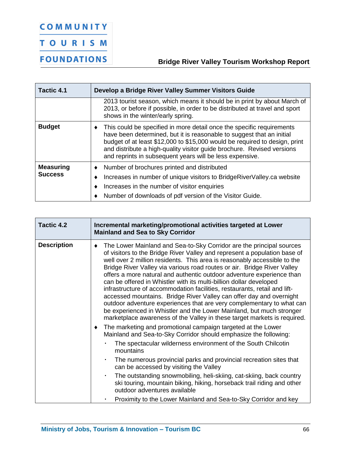**TOURISM** 

# **FOUNDATIONS**

| Tactic 4.1                         | Develop a Bridge River Valley Summer Visitors Guide                                                                                                                                                                                                                                                                                                                     |
|------------------------------------|-------------------------------------------------------------------------------------------------------------------------------------------------------------------------------------------------------------------------------------------------------------------------------------------------------------------------------------------------------------------------|
|                                    | 2013 tourist season, which means it should be in print by about March of<br>2013, or before if possible, in order to be distributed at travel and sport<br>shows in the winter/early spring.                                                                                                                                                                            |
| <b>Budget</b>                      | This could be specified in more detail once the specific requirements<br>٠<br>have been determined, but it is reasonable to suggest that an initial<br>budget of at least \$12,000 to \$15,000 would be required to design, print<br>and distribute a high-quality visitor guide brochure. Revised versions<br>and reprints in subsequent years will be less expensive. |
| <b>Measuring</b><br><b>Success</b> | Number of brochures printed and distributed<br>٠<br>Increases in number of unique visitors to BridgeRiverValley.ca website<br>Increases in the number of visitor enquiries<br>٠<br>Number of downloads of pdf version of the Visitor Guide.                                                                                                                             |

| Tactic 4.2         | Incremental marketing/promotional activities targeted at Lower<br><b>Mainland and Sea to Sky Corridor</b>                                                                                                                                                                                                                                                                                                                                                                                                                                                                                                                                                                                                                                                                                                                                     |
|--------------------|-----------------------------------------------------------------------------------------------------------------------------------------------------------------------------------------------------------------------------------------------------------------------------------------------------------------------------------------------------------------------------------------------------------------------------------------------------------------------------------------------------------------------------------------------------------------------------------------------------------------------------------------------------------------------------------------------------------------------------------------------------------------------------------------------------------------------------------------------|
| <b>Description</b> | The Lower Mainland and Sea-to-Sky Corridor are the principal sources<br>٠<br>of visitors to the Bridge River Valley and represent a population base of<br>well over 2 million residents. This area is reasonably accessible to the<br>Bridge River Valley via various road routes or air. Bridge River Valley<br>offers a more natural and authentic outdoor adventure experience than<br>can be offered in Whistler with its multi-billion dollar developed<br>infrastructure of accommodation facilities, restaurants, retail and lift-<br>accessed mountains. Bridge River Valley can offer day and overnight<br>outdoor adventure experiences that are very complementary to what can<br>be experienced in Whistler and the Lower Mainland, but much stronger<br>marketplace awareness of the Valley in these target markets is required. |
|                    | The marketing and promotional campaign targeted at the Lower<br>٠<br>Mainland and Sea-to-Sky Corridor should emphasize the following:<br>The spectacular wilderness environment of the South Chilcotin<br>mountains                                                                                                                                                                                                                                                                                                                                                                                                                                                                                                                                                                                                                           |
|                    | The numerous provincial parks and provincial recreation sites that<br>$\blacksquare$<br>can be accessed by visiting the Valley                                                                                                                                                                                                                                                                                                                                                                                                                                                                                                                                                                                                                                                                                                                |
|                    | The outstanding snowmobiling, heli-skiing, cat-skiing, back country<br>٠<br>ski touring, mountain biking, hiking, horseback trail riding and other<br>outdoor adventures available                                                                                                                                                                                                                                                                                                                                                                                                                                                                                                                                                                                                                                                            |
|                    | Proximity to the Lower Mainland and Sea-to-Sky Corridor and key                                                                                                                                                                                                                                                                                                                                                                                                                                                                                                                                                                                                                                                                                                                                                                               |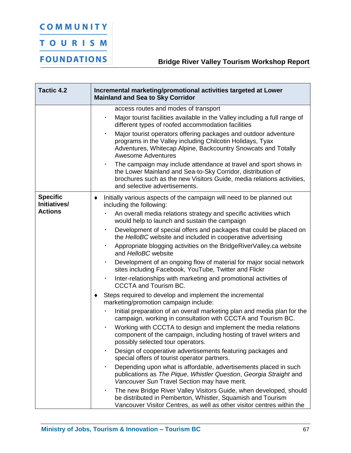**TOURISM** 

**FOUNDATIONS** 

| <b>Tactic 4.2</b>               | Incremental marketing/promotional activities targeted at Lower<br><b>Mainland and Sea to Sky Corridor</b>                                                                                                                                 |
|---------------------------------|-------------------------------------------------------------------------------------------------------------------------------------------------------------------------------------------------------------------------------------------|
|                                 | access routes and modes of transport                                                                                                                                                                                                      |
|                                 | Major tourist facilities available in the Valley including a full range of<br>٠<br>different types of roofed accommodation facilities                                                                                                     |
|                                 | Major tourist operators offering packages and outdoor adventure<br>٠<br>programs in the Valley including Chilcotin Holidays, Tyax<br>Adventures, Whitecap Alpine, Backcountry Snowcats and Totally<br><b>Awesome Adventures</b>           |
|                                 | The campaign may include attendance at travel and sport shows in<br>the Lower Mainland and Sea-to-Sky Corridor, distribution of<br>brochures such as the new Visitors Guide, media relations activities,<br>and selective advertisements. |
| <b>Specific</b><br>Initiatives/ | Initially various aspects of the campaign will need to be planned out<br>٠<br>including the following:                                                                                                                                    |
| <b>Actions</b>                  | An overall media relations strategy and specific activities which<br>would help to launch and sustain the campaign                                                                                                                        |
|                                 | Development of special offers and packages that could be placed on<br>٠<br>the HelloBC website and included in cooperative advertising                                                                                                    |
|                                 | Appropriate blogging activities on the BridgeRiverValley.ca website<br>and HelloBC website                                                                                                                                                |
|                                 | Development of an ongoing flow of material for major social network<br>٠<br>sites including Facebook, YouTube, Twitter and Flickr                                                                                                         |
|                                 | Inter-relationships with marketing and promotional activities of<br>٠<br><b>CCCTA and Tourism BC.</b>                                                                                                                                     |
|                                 | Steps required to develop and implement the incremental<br>٠<br>marketing/promotion campaign include:                                                                                                                                     |
|                                 | Initial preparation of an overall marketing plan and media plan for the<br>campaign, working in consultation with CCCTA and Tourism BC.                                                                                                   |
|                                 | Working with CCCTA to design and implement the media relations<br>component of the campaign, including hosting of travel writers and<br>possibly selected tour operators.                                                                 |
|                                 | Design of cooperative advertisements featuring packages and<br>special offers of tourist operator partners.                                                                                                                               |
|                                 | Depending upon what is affordable, advertisements placed in such<br>publications as The Pique, Whistler Question, Georgia Straight and<br>Vancouver Sun Travel Section may have merit.                                                    |
|                                 | The new Bridge River Valley Visitors Guide, when developed, should<br>be distributed in Pemberton, Whistler, Squamish and Tourism<br>Vancouver Visitor Centres, as well as other visitor centres within the                               |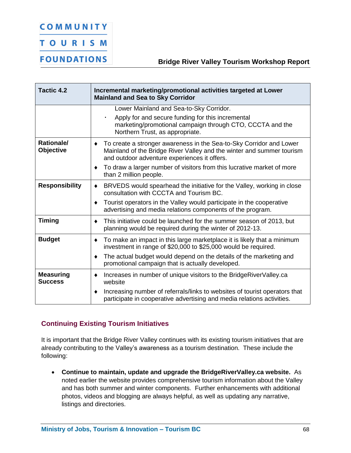## **TOURISM**

## **FOUNDATIONS**

## **Bridge River Valley Tourism Workshop Report**

| <b>Tactic 4.2</b>                  | Incremental marketing/promotional activities targeted at Lower<br><b>Mainland and Sea to Sky Corridor</b>                                                                                                 |
|------------------------------------|-----------------------------------------------------------------------------------------------------------------------------------------------------------------------------------------------------------|
|                                    | Lower Mainland and Sea-to-Sky Corridor.                                                                                                                                                                   |
|                                    | Apply for and secure funding for this incremental<br>marketing/promotional campaign through CTO, CCCTA and the<br>Northern Trust, as appropriate.                                                         |
| Rationale/<br><b>Objective</b>     | To create a stronger awareness in the Sea-to-Sky Corridor and Lower<br>$\bullet$<br>Mainland of the Bridge River Valley and the winter and summer tourism<br>and outdoor adventure experiences it offers. |
|                                    | To draw a larger number of visitors from this lucrative market of more<br>٠<br>than 2 million people.                                                                                                     |
| <b>Responsibility</b>              | BRVEDS would spearhead the initiative for the Valley, working in close<br>$\bullet$<br>consultation with CCCTA and Tourism BC.                                                                            |
|                                    | Tourist operators in the Valley would participate in the cooperative<br>٠<br>advertising and media relations components of the program.                                                                   |
| <b>Timing</b>                      | This initiative could be launched for the summer season of 2013, but<br>$\bullet$<br>planning would be required during the winter of 2012-13.                                                             |
| <b>Budget</b>                      | To make an impact in this large marketplace it is likely that a minimum<br>$\bullet$<br>investment in range of \$20,000 to \$25,000 would be required.                                                    |
|                                    | The actual budget would depend on the details of the marketing and<br>٠<br>promotional campaign that is actually developed.                                                                               |
| <b>Measuring</b><br><b>Success</b> | Increases in number of unique visitors to the BridgeRiverValley.ca<br>٠<br>website                                                                                                                        |
|                                    | Increasing number of referrals/links to websites of tourist operators that<br>٠<br>participate in cooperative advertising and media relations activities.                                                 |

## <span id="page-69-0"></span>*31B***Continuing Existing Tourism Initiatives**

It is important that the Bridge River Valley continues with its existing tourism initiatives that are already contributing to the Valley's awareness as a tourism destination. These include the following:

 **Continue to maintain, update and upgrade the BridgeRiverValley.ca website.** As noted earlier the website provides comprehensive tourism information about the Valley and has both summer and winter components. Further enhancements with additional photos, videos and blogging are always helpful, as well as updating any narrative, listings and directories.